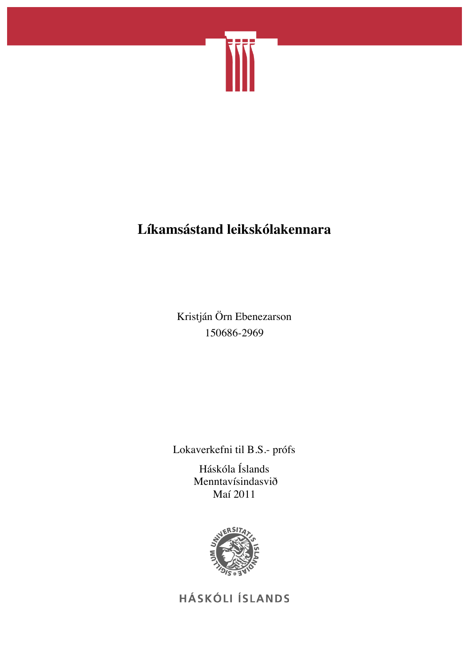

# **Líkamsástand leikskólakennara**

Kristján Örn Ebenezarson 150686-2969

Lokaverkefni til B.S.- prófs

Háskóla Íslands Menntavísindasvið Maí 2011



HÁSKÓLI ÍSLANDS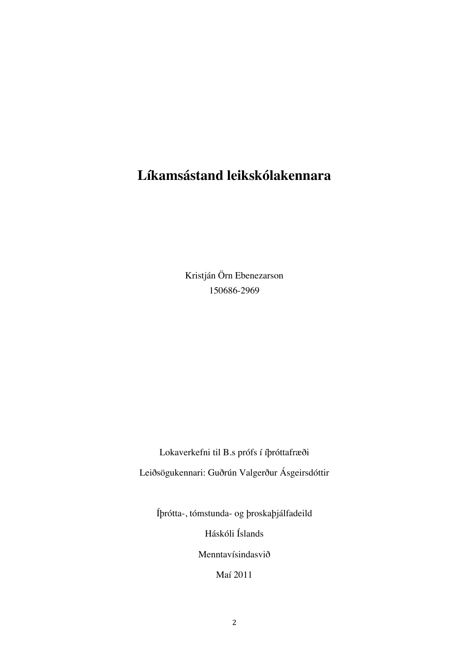# **Líkamsástand leikskólakennara**

Kristján Örn Ebenezarson 150686-2969

Lokaverkefni til B.s prófs í íþróttafræði Leiðsögukennari: Guðrún Valgerður Ásgeirsdóttir

Íþrótta-, tómstunda- og þroskaþjálfadeild

Háskóli Íslands

Menntavísindasvið

Maí 2011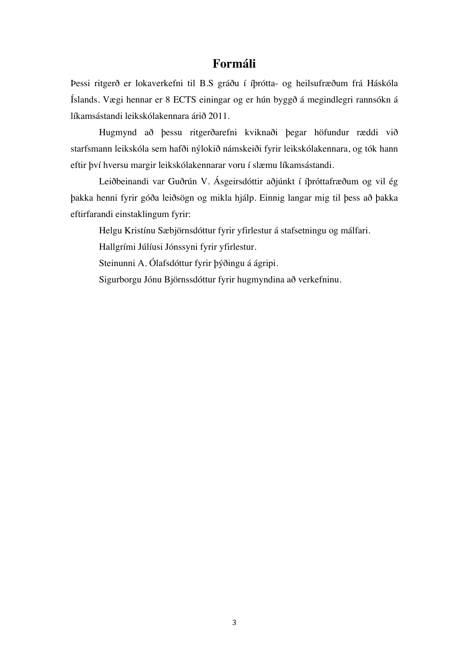## **Formáli**

Þessi ritgerð er lokaverkefni til B.S gráðu í íþrótta- og heilsufræðum frá Háskóla Íslands. Vægi hennar er 8 ECTS einingar og er hún byggð á megindlegri rannsókn á líkamsástandi leikskólakennara árið 2011.

Hugmynd að þessu ritgerðarefni kviknaði þegar höfundur ræddi við starfsmann leikskóla sem hafði nýlokið námskeiði fyrir leikskólakennara, og tók hann eftir því hversu margir leikskólakennarar voru í slæmu líkamsástandi.

Leiðbeinandi var Guðrún V. Ásgeirsdóttir aðjúnkt í íþróttafræðum og vil ég þakka henni fyrir góða leiðsögn og mikla hjálp. Einnig langar mig til þess að þakka eftirfarandi einstaklingum fyrir:

Helgu Kristínu Sæbjörnsdóttur fyrir yfirlestur á stafsetningu og málfari.

Hallgrími Júlíusi Jónssyni fyrir yfirlestur.

Steinunni A. Ólafsdóttur fyrir þýðingu á ágripi.

Sigurborgu Jónu Björnssdóttur fyrir hugmyndina að verkefninu.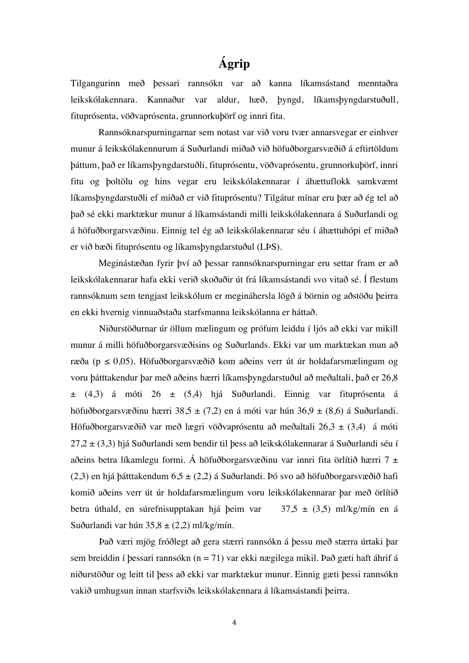## **Ágrip**

Tilgangurinn með þessari rannsókn var að kanna líkamsástand menntaðra leikskólakennara. Kannaður var aldur, hæð, þyngd, líkamsþyngdarstuðull, fituprósenta, vöðvaprósenta, grunnorkuþörf og innri fita.

Rannsóknarspurningarnar sem notast var við voru tvær annarsvegar er einhver munur á leikskólakennurum á Suðurlandi miðað við höfuðborgarsvæðið á eftirtöldum þáttum, það er líkamsþyngdarstuðli, fituprósentu, vöðvaprósentu, grunnorkuþörf, innri fitu og þoltölu og hins vegar eru leikskólakennarar í áhættuflokk samkvæmt líkamsþyngdarstuðli ef miðað er við fituprósentu? Tilgátur mínar eru þær að ég tel að það sé ekki marktækur munur á líkamsástandi milli leikskólakennara á Suðurlandi og á höfuðborgarsvæðinu. Einnig tel ég að leikskólakennarar séu í áhættuhópi ef miðað er við bæði fituprósentu og líkamsþyngdarstuðul (LÞS).

Meginástæðan fyrir því að þessar rannsóknarspurningar eru settar fram er að leikskólakennarar hafa ekki verið skoðaðir út frá líkamsástandi svo vitað sé. Í flestum rannsóknum sem tengjast leikskólum er megináhersla lögð á börnin og aðstöðu þeirra en ekki hvernig vinnuaðstaða starfsmanna leikskólanna er háttað.

Niðurstöðurnar úr öllum mælingum og prófum leiddu í ljós að ekki var mikill munur á milli höfuðborgarsvæðisins og Suðurlands. Ekki var um marktækan mun að ræða ( $p \le 0.05$ ). Höfuðborgarsvæðið kom aðeins verr út úr holdafarsmælingum og voru þátttakendur þar með aðeins hærri líkamsþyngdarstuðul að meðaltali, það er 26,8  $\pm$  (4,3) á móti 26  $\pm$  (5,4) hjá Suðurlandi. Einnig var fituprósenta á höfuðborgarsvæðinu hærri 38,5 ± (7,2) en á móti var hún 36,9 ± (8,6) á Suðurlandi. Höfuðborgarsvæðið var með lægri vöðvaprósentu að meðaltali  $26,3 \pm (3,4)$  á móti  $27.2 \pm (3.3)$  hjá Suðurlandi sem bendir til þess að leikskólakennarar á Suðurlandi séu í aðeins betra líkamlegu formi. Á höfuðborgarsvæðinu var innri fita örlítið hærri 7 ±  $(2,3)$  en hjá þátttakendum 6,5 ±  $(2,2)$  á Suðurlandi. Þó svo að höfuðborgarsvæðið hafi komið aðeins verr út úr holdafarsmælingum voru leikskólakennarar þar með örlítið betra úthald, en súrefnisupptakan hjá þeim var  $37.5 \pm (3.5)$  ml/kg/mín en á Suðurlandi var hún  $35,8 \pm (2,2)$  ml/kg/mín.

Það væri mjög fróðlegt að gera stærri rannsókn á þessu með stærra úrtaki þar sem breiddin í þessari rannsókn  $(n = 71)$  var ekki nægilega mikil. Það gæti haft áhrif á niðurstöður og leitt til þess að ekki var marktækur munur. Einnig gæti þessi rannsókn vakið umhugsun innan starfsviðs leikskólakennara á líkamsástandi þeirra.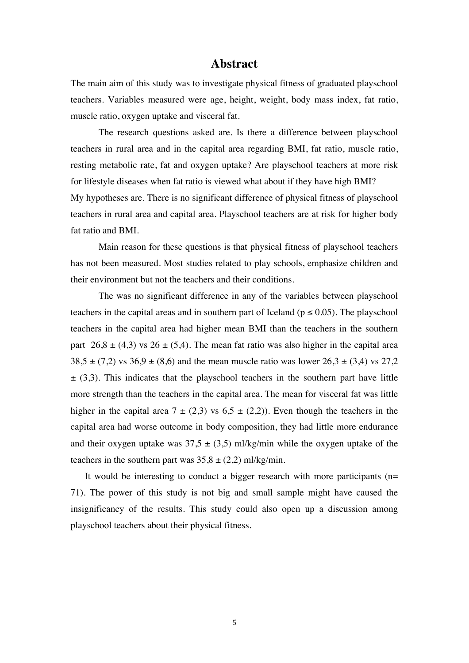### **Abstract**

The main aim of this study was to investigate physical fitness of graduated playschool teachers. Variables measured were age, height, weight, body mass index, fat ratio, muscle ratio, oxygen uptake and visceral fat.

The research questions asked are. Is there a difference between playschool teachers in rural area and in the capital area regarding BMI, fat ratio, muscle ratio, resting metabolic rate, fat and oxygen uptake? Are playschool teachers at more risk for lifestyle diseases when fat ratio is viewed what about if they have high BMI? My hypotheses are. There is no significant difference of physical fitness of playschool teachers in rural area and capital area. Playschool teachers are at risk for higher body fat ratio and BMI.

Main reason for these questions is that physical fitness of playschool teachers has not been measured. Most studies related to play schools, emphasize children and their environment but not the teachers and their conditions.

The was no significant difference in any of the variables between playschool teachers in the capital areas and in southern part of Iceland ( $p \le 0.05$ ). The playschool teachers in the capital area had higher mean BMI than the teachers in the southern part  $26,8 \pm (4,3)$  vs  $26 \pm (5,4)$ . The mean fat ratio was also higher in the capital area  $38.5 \pm (7.2)$  vs  $36.9 \pm (8.6)$  and the mean muscle ratio was lower  $26.3 \pm (3.4)$  vs  $27.2$  $\pm$  (3,3). This indicates that the playschool teachers in the southern part have little more strength than the teachers in the capital area. The mean for visceral fat was little higher in the capital area  $7 \pm (2.3)$  vs  $6.5 \pm (2.2)$ ). Even though the teachers in the capital area had worse outcome in body composition, they had little more endurance and their oxygen uptake was  $37.5 \pm (3.5)$  ml/kg/min while the oxygen uptake of the teachers in the southern part was  $35,8 \pm (2,2)$  ml/kg/min.

It would be interesting to conduct a bigger research with more participants  $(n=$ 71). The power of this study is not big and small sample might have caused the insignificancy of the results. This study could also open up a discussion among playschool teachers about their physical fitness.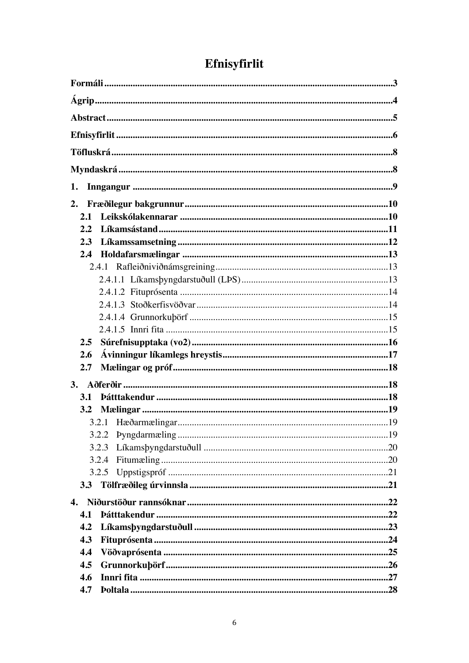| 1.  |  |
|-----|--|
| 2.  |  |
| 2.1 |  |
| 2.2 |  |
| 2.3 |  |
| 2.4 |  |
|     |  |
|     |  |
|     |  |
|     |  |
|     |  |
|     |  |
| 2.5 |  |
| 2.6 |  |
| 2.7 |  |
|     |  |
| 3.1 |  |
| 3.2 |  |
|     |  |
|     |  |
|     |  |
|     |  |
|     |  |
|     |  |
|     |  |
| 4.1 |  |
| 4.2 |  |
| 4.3 |  |
| 4.4 |  |
| 4.5 |  |
| 4.6 |  |
| 4.7 |  |

# Efnisyfirlit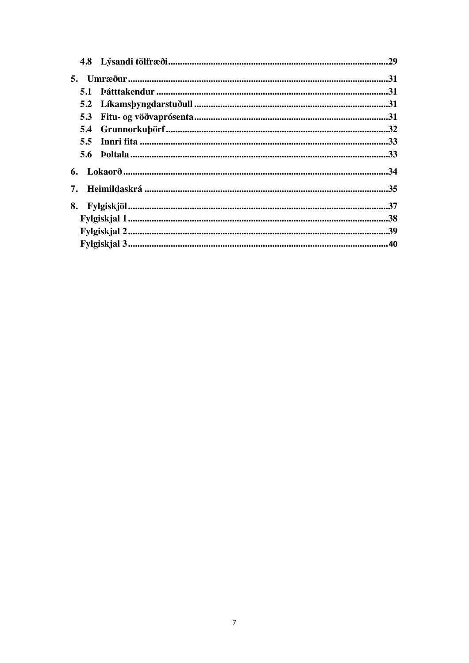| 5.3 |  |
|-----|--|
|     |  |
|     |  |
|     |  |
|     |  |
| 7.  |  |
| 8.  |  |
|     |  |
|     |  |
|     |  |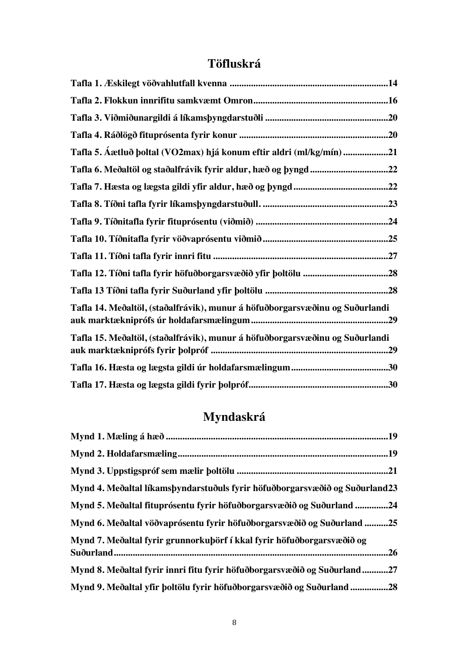## **Töfluskrá**

| Tafla 5. Áætluð þoltal (VO2max) hjá konum eftir aldri (ml/kg/mín) 21         |  |
|------------------------------------------------------------------------------|--|
| Tafla 6. Meðaltöl og staðalfrávik fyrir aldur, hæð og þyngd22                |  |
|                                                                              |  |
|                                                                              |  |
|                                                                              |  |
|                                                                              |  |
|                                                                              |  |
|                                                                              |  |
|                                                                              |  |
| Tafla 14. Meðaltöl, (staðalfrávik), munur á höfuðborgarsvæðinu og Suðurlandi |  |
| Tafla 15. Meðaltöl, (staðalfrávik), munur á höfuðborgarsvæðinu og Suðurlandi |  |
|                                                                              |  |
|                                                                              |  |

# **Myndaskrá**

| .21                                                                           |
|-------------------------------------------------------------------------------|
| Mynd 4. Meðaltal líkamsþyndarstuðuls fyrir höfuðborgarsvæðið og Suðurland23   |
| Mynd 5. Meðaltal fituprósentu fyrir höfuðborgarsvæðið og Suðurland 24         |
| Mynd 6. Meðaltal vöðvaprósentu fyrir höfuðborgarsvæðið og Suðurland 25        |
| Mynd 7. Meðaltal fyrir grunnorkuþörf í kkal fyrir höfuðborgarsvæðið og        |
| .26                                                                           |
| .27<br>Mynd 8. Meðaltal fyrir innri fitu fyrir höfuðborgarsvæðið og Suðurland |
| Mynd 9. Meðaltal yfir þoltölu fyrir höfuðborgarsvæðið og Suðurland 28         |
|                                                                               |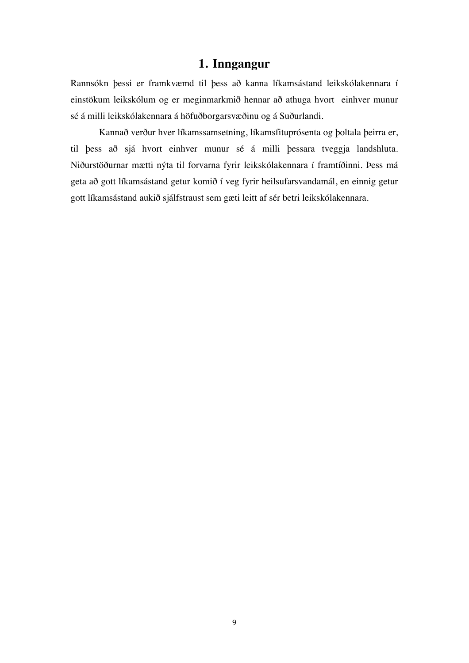## **1. Inngangur**

Rannsókn þessi er framkvæmd til þess að kanna líkamsástand leikskólakennara í einstökum leikskólum og er meginmarkmið hennar að athuga hvort einhver munur sé á milli leikskólakennara á höfuðborgarsvæðinu og á Suðurlandi.

Kannað verður hver líkamssamsetning, líkamsfituprósenta og þoltala þeirra er, til þess að sjá hvort einhver munur sé á milli þessara tveggja landshluta. Niðurstöðurnar mætti nýta til forvarna fyrir leikskólakennara í framtíðinni. Þess má geta að gott líkamsástand getur komið í veg fyrir heilsufarsvandamál, en einnig getur gott líkamsástand aukið sjálfstraust sem gæti leitt af sér betri leikskólakennara.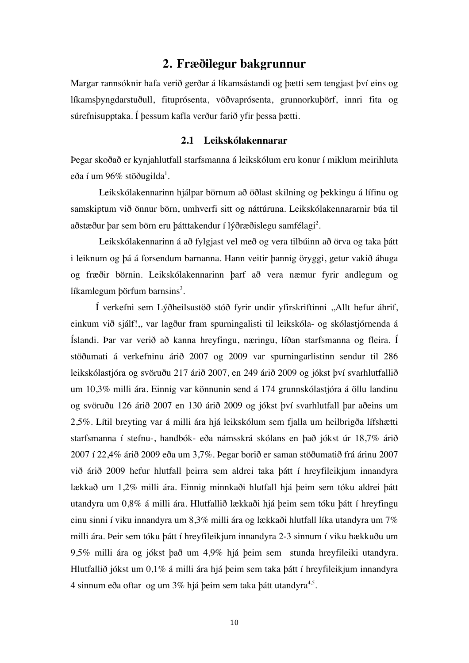## **2. Fræðilegur bakgrunnur**

Margar rannsóknir hafa verið gerðar á líkamsástandi og þætti sem tengjast því eins og líkamsþyngdarstuðull, fituprósenta, vöðvaprósenta, grunnorkuþörf, innri fita og súrefnisupptaka. Í þessum kafla verður farið yfir þessa þætti.

#### **2.1 Leikskólakennarar**

Þegar skoðað er kynjahlutfall starfsmanna á leikskólum eru konur í miklum meirihluta eða í um 96% stöðugilda $^{\rm l}$ .

Leikskólakennarinn hjálpar börnum að öðlast skilning og þekkingu á lífinu og samskiptum við önnur börn, umhverfi sitt og náttúruna. Leikskólakennararnir búa til aðstæður þar sem börn eru þátttakendur í lýðræðislegu samfélagi $^2.$ 

Leikskólakennarinn á að fylgjast vel með og vera tilbúinn að örva og taka þátt i leiknum og þá á forsendum barnanna. Hann veitir þannig öryggi, getur vakið áhuga og fræðir börnin. Leikskólakennarinn þarf að vera næmur fyrir andlegum og líkamlegum þörfum barnsins $^3.$ 

Í verkefni sem Lýðheilsustöð stóð fyrir undir yfirskriftinni ,,Allt hefur áhrif, einkum við sjálf!,, var lagður fram spurningalisti til leikskóla- og skólastjórnenda á Íslandi. Þar var verið að kanna hreyfingu, næringu, líðan starfsmanna og fleira. Í stöðumati á verkefninu árið 2007 og 2009 var spurningarlistinn sendur til 286 leikskólastjóra og svöruðu 217 árið 2007, en 249 árið 2009 og jókst því svarhlutfallið um 10,3% milli ára. Einnig var könnunin send á 174 grunnskólastjóra á öllu landinu og svöruðu 126 árið 2007 en 130 árið 2009 og jókst því svarhlutfall þar aðeins um 2,5%. Lítil breyting var á milli ára hjá leikskólum sem fjalla um heilbrigða lífshætti starfsmanna í stefnu-, handbók- eða námsskrá skólans en það jókst úr 18,7% árið 2007 í 22,4% árið 2009 eða um 3,7%. Þegar borið er saman stöðumatið frá árinu 2007 við árið 2009 hefur hlutfall þeirra sem aldrei taka þátt í hreyfileikjum innandyra lækkað um 1,2% milli ára. Einnig minnkaði hlutfall hjá þeim sem tóku aldrei þátt utandyra um 0,8% á milli ára. Hlutfallið lækkaði hjá þeim sem tóku þátt í hreyfingu einu sinni í viku innandyra um 8,3% milli ára og lækkaði hlutfall líka utandyra um 7% milli ára. Þeir sem tóku þátt í hreyfileikjum innandyra 2-3 sinnum í viku hækkuðu um 9,5% milli ára og jókst það um 4,9% hjá þeim sem stunda hreyfileiki utandyra. Hlutfallið jókst um 0,1% á milli ára hjá þeim sem taka þátt í hreyfileikjum innandyra 4 sinnum eða oftar og um 3% hjá þeim sem taka þátt utandyra $4.5$ .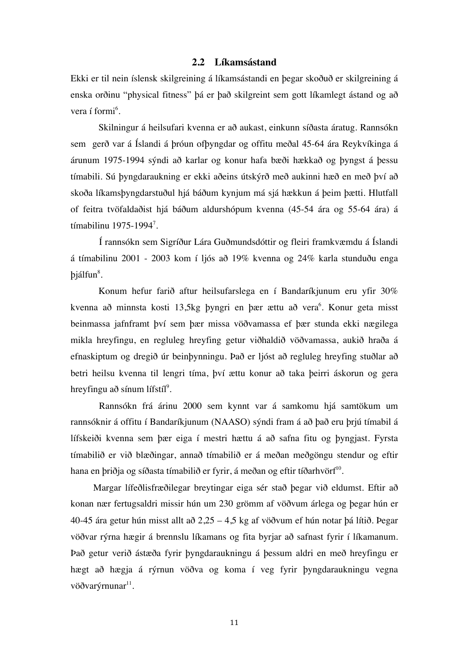#### **2.2 Líkamsástand**

Ekki er til nein íslensk skilgreining á líkamsástandi en þegar skoðuð er skilgreining á enska orðinu "physical fitness" þá er það skilgreint sem gott líkamlegt ástand og að vera í formi<sup>6</sup>.

Skilningur á heilsufari kvenna er að aukast, einkunn síðasta áratug. Rannsókn sem gerð var á Íslandi á þróun ofþyngdar og offitu meðal 45-64 ára Reykvíkinga á árunum 1975-1994 sýndi að karlar og konur hafa bæði hækkað og þyngst á þessu tímabili. Sú þyngdaraukning er ekki aðeins útskýrð með aukinni hæð en með því að skoða líkamsþyngdarstuðul hjá báðum kynjum má sjá hækkun á þeim þætti. Hlutfall of feitra tvöfaldaðist hjá báðum aldurshópum kvenna (45-54 ára og 55-64 ára) á tímabilinu 1975-1994<sup>7</sup>.

Í rannsókn sem Sigríður Lára Guðmundsdóttir og fleiri framkvæmdu á Íslandi á tímabilinu 2001 - 2003 kom í ljós að 19% kvenna og 24% karla stunduðu enga þjálfun<sup>8</sup>.

Konum hefur farið aftur heilsufarslega en í Bandaríkjunum eru yfir 30% kvenna að minnsta kosti 13,5kg þyngri en þær ættu að vera<sup>6</sup>. Konur geta misst beinmassa jafnframt því sem þær missa vöðvamassa ef þær stunda ekki nægilega mikla hreyfingu, en regluleg hreyfing getur viðhaldið vöðvamassa, aukið hraða á efnaskiptum og dregið úr beinþynningu. Það er ljóst að regluleg hreyfing stuðlar að betri heilsu kvenna til lengri tíma, því ættu konur að taka þeirri áskorun og gera hreyfingu að sínum lífstíl $^9$ .

Rannsókn frá árinu 2000 sem kynnt var á samkomu hjá samtökum um rannsóknir á offitu í Bandaríkjunum (NAASO) sýndi fram á að það eru þrjú tímabil á lífskeiði kvenna sem þær eiga í mestri hættu á að safna fitu og þyngjast. Fyrsta tímabilið er við blæðingar, annað tímabilið er á meðan meðgöngu stendur og eftir hana en þriðja og síðasta tímabilið er fyrir, á meðan og eftir tíðarhvörf<sup>10</sup>.

Margar lífeðlisfræðilegar breytingar eiga sér stað þegar við eldumst. Eftir að konan nær fertugsaldri missir hún um 230 grömm af vöðvum árlega og þegar hún er 40-45 ára getur hún misst allt að 2,25 – 4,5 kg af vöðvum ef hún notar þá lítið. Þegar vöðvar rýrna hægir á brennslu líkamans og fita byrjar að safnast fyrir í líkamanum. Það getur verið ástæða fyrir þyngdaraukningu á þessum aldri en með hreyfingu er hægt að hægja á rýrnun vöðva og koma í veg fyrir þyngdaraukningu vegna vöðvarýrnunar $11$ .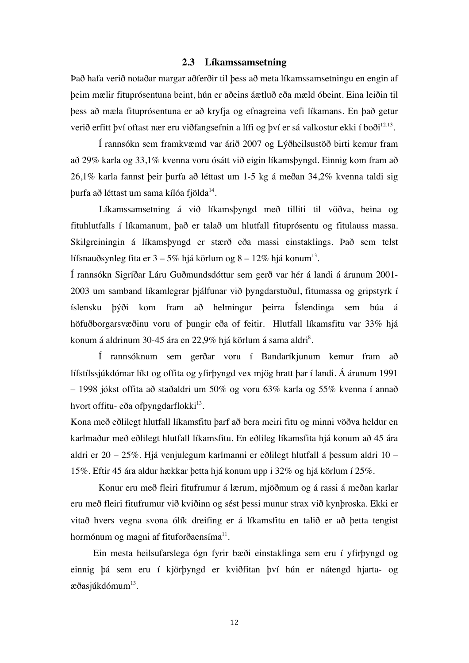#### **2.3 Líkamssamsetning**

Það hafa verið notaðar margar aðferðir til þess að meta líkamssamsetningu en engin af þeim mælir fituprósentuna beint, hún er aðeins áætluð eða mæld óbeint. Eina leiðin til þess að mæla fituprósentuna er að kryfja og efnagreina vefi líkamans. En það getur verið erfitt því oftast nær eru viðfangsefnin a lífi og því er sá valkostur ekki í boði $^{12,13}.$ 

Í rannsókn sem framkvæmd var árið 2007 og Lýðheilsustöð birti kemur fram að 29% karla og 33,1% kvenna voru ósátt við eigin líkamsþyngd. Einnig kom fram að 26,1% karla fannst þeir þurfa að léttast um 1-5 kg á meðan 34,2% kvenna taldi sig þurfa að léttast um sama kílóa fjölda14.

Líkamssamsetning á við líkamsþyngd með tilliti til vöðva, beina og fituhlutfalls í líkamanum, það er talað um hlutfall fituprósentu og fitulauss massa. Skilgreiningin á líkamsþyngd er stærð eða massi einstaklings. Það sem telst lífsnauðsynleg fita er  $3 - 5\%$  hjá körlum og  $8 - 12\%$  hjá konum<sup>13</sup>.

Í rannsókn Sigríðar Láru Guðmundsdóttur sem gerð var hér á landi á árunum 2001- 2003 um samband líkamlegrar þjálfunar við þyngdarstuðul, fitumassa og gripstyrk í íslensku þýði kom fram að helmingur þeirra Íslendinga sem búa á höfuðborgarsvæðinu voru of þungir eða of feitir. Hlutfall líkamsfitu var 33% hjá konum á aldrinum 30-45 ára en 22,9% hjá körlum á sama aldri $^8.$ 

Í rannsóknum sem gerðar voru í Bandaríkjunum kemur fram að lífstílssjúkdómar líkt og offita og yfirþyngd vex mjög hratt þar í landi. Á árunum 1991 – 1998 jókst offita að staðaldri um 50% og voru 63% karla og 55% kvenna í annað hvort offitu- eða ofþyngdarflokki $13$ .

Kona með eðlilegt hlutfall líkamsfitu þarf að bera meiri fitu og minni vöðva heldur en karlmaður með eðlilegt hlutfall líkamsfitu. En eðlileg líkamsfita hjá konum að 45 ára aldri er 20 – 25%. Hjá venjulegum karlmanni er eðlilegt hlutfall á þessum aldri 10 – 15%. Eftir 45 ára aldur hækkar þetta hjá konum upp i 32% og hjá körlum í 25%.

Konur eru með fleiri fitufrumur á lærum, mjöðmum og á rassi á meðan karlar eru með fleiri fitufrumur við kviðinn og sést þessi munur strax við kynþroska. Ekki er vitað hvers vegna svona ólík dreifing er á líkamsfitu en talið er að þetta tengist hormónum og magni af fituforðaensíma $^{11}$ .

Ein mesta heilsufarslega ógn fyrir bæði einstaklinga sem eru í yfirþyngd og einnig þá sem eru í kjörþyngd er kviðfitan því hún er nátengd hjarta- og æðasjúkdómum $^{13}$ .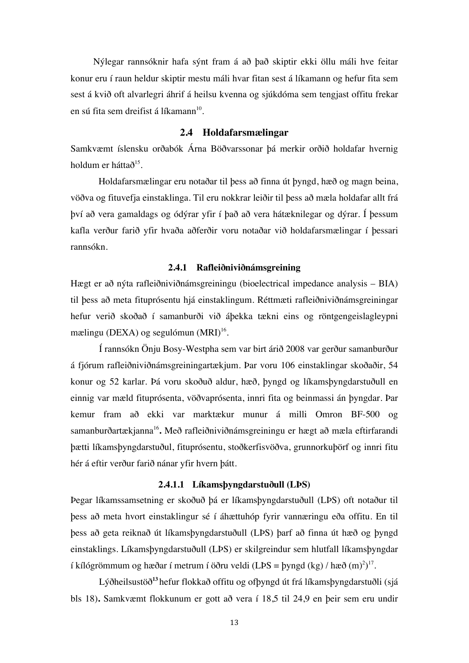Nýlegar rannsóknir hafa sýnt fram á að það skiptir ekki öllu máli hve feitar konur eru í raun heldur skiptir mestu máli hvar fitan sest á líkamann og hefur fita sem sest á kvið oft alvarlegri áhrif á heilsu kvenna og sjúkdóma sem tengjast offitu frekar en sú fita sem dreifist á líkamann $10$ .

#### **2.4 Holdafarsmælingar**

Samkvæmt íslensku orðabók Árna Böðvarssonar þá merkir orðið holdafar hvernig holdum er háttað $15$ .

Holdafarsmælingar eru notaðar til þess að finna út þyngd, hæð og magn beina, vöðva og fituvefja einstaklinga. Til eru nokkrar leiðir til þess að mæla holdafar allt frá því að vera gamaldags og ódýrar yfir í það að vera hátæknilegar og dýrar. Í þessum kafla verður farið yfir hvaða aðferðir voru notaðar við holdafarsmælingar í þessari rannsókn.

#### **2.4.1 Rafleiðniviðnámsgreining**

Hægt er að nýta rafleiðniviðnámsgreiningu (bioelectrical impedance analysis – BIA) til þess að meta fituprósentu hjá einstaklingum. Réttmæti rafleiðniviðnámsgreiningar hefur verið skoðað í samanburði við áþekka tækni eins og röntgengeislagleypni mælingu (DEXA) og segulómun  $(MRI)^{16}$ .

Í rannsókn Önju Bosy-Westpha sem var birt árið 2008 var gerður samanburður á fjórum rafleiðniviðnámsgreiningartækjum. Þar voru 106 einstaklingar skoðaðir, 54 konur og 52 karlar. Þá voru skoðuð aldur, hæð, þyngd og líkamsþyngdarstuðull en einnig var mæld fituprósenta, vöðvaprósenta, innri fita og beinmassi án þyngdar. Þar kemur fram að ekki var marktækur munur á milli Omron BF-500 og samanburðartækjanna16**.** Með rafleiðniviðnámsgreiningu er hægt að mæla eftirfarandi þætti líkamsþyngdarstuðul, fituprósentu, stoðkerfisvöðva, grunnorkuþörf og innri fitu hér á eftir verður farið nánar yfir hvern þátt.

#### **2.4.1.1 Líkamsþyngdarstuðull (LÞS)**

Þegar líkamssamsetning er skoðuð þá er líkamsþyngdarstuðull (LÞS) oft notaður til þess að meta hvort einstaklingur sé í áhættuhóp fyrir vannæringu eða offitu. En til þess að geta reiknað út líkamsþyngdarstuðull (LÞS) þarf að finna út hæð og þyngd einstaklings. Líkamsþyngdarstuðull (LÞS) er skilgreindur sem hlutfall líkamsþyngdar í kílógrömmum og hæðar í metrum í öðru veldi (LÞS = þyngd (kg) / hæð  $(m)^2$ <sup>17</sup>.

Lýðheilsustöð**<sup>13</sup>**hefur flokkað offitu og ofþyngd út frá líkamsþyngdarstuðli (sjá bls 18)**.** Samkvæmt flokkunum er gott að vera í 18,5 til 24,9 en þeir sem eru undir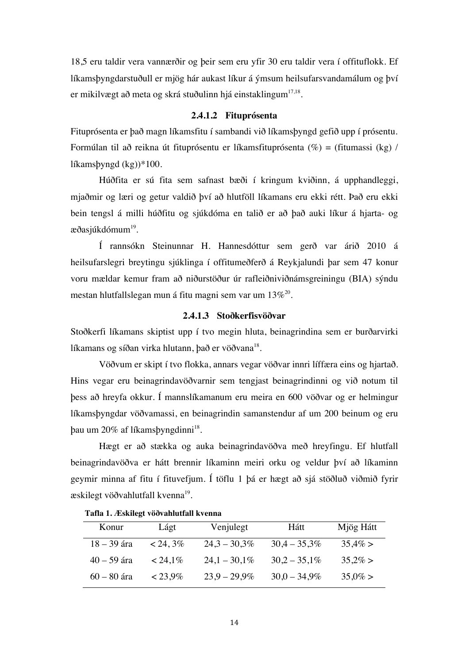18,5 eru taldir vera vannærðir og þeir sem eru yfir 30 eru taldir vera í offituflokk. Ef líkamsþyngdarstuðull er mjög hár aukast líkur á ýmsum heilsufarsvandamálum og því er mikilvægt að meta og skrá stuðulinn hjá einstaklingum $17,18$ .

#### **2.4.1.2 Fituprósenta**

Fituprósenta er það magn líkamsfitu í sambandi við líkamsþyngd gefið upp í prósentu. Formúlan til að reikna út fituprósentu er líkamsfituprósenta  $(\%)$  = (fitumassi (kg) / líkamsþyngd (kg))\*100.

Húðfita er sú fita sem safnast bæði í kringum kviðinn, á upphandleggi, mjaðmir og læri og getur valdið því að hlutföll líkamans eru ekki rétt. Það eru ekki bein tengsl á milli húðfitu og sjúkdóma en talið er að það auki líkur á hjarta- og æðasjúkdómum<sup>19</sup>.

Í rannsókn Steinunnar H. Hannesdóttur sem gerð var árið 2010 á heilsufarslegri breytingu sjúklinga í offitumeðferð á Reykjalundi þar sem 47 konur voru mældar kemur fram að niðurstöður úr rafleiðniviðnámsgreiningu (BIA) sýndu mestan hlutfallslegan mun á fitu magni sem var um  $13\%^{20}$ .

#### **2.4.1.3 Stoðkerfisvöðvar**

Stoðkerfi líkamans skiptist upp í tvo megin hluta, beinagrindina sem er burðarvirki líkamans og síðan virka hlutann, það er vöðvana<sup>18</sup>.

Vöðvum er skipt í tvo flokka, annars vegar vöðvar innri líffæra eins og hjartað. Hins vegar eru beinagrindavöðvarnir sem tengjast beinagrindinni og við notum til þess að hreyfa okkur. Í mannslíkamanum eru meira en 600 vöðvar og er helmingur líkamsþyngdar vöðvamassi, en beinagrindin samanstendur af um 200 beinum og eru þau um 20% af líkamsþyngdinni18.

Hægt er að stækka og auka beinagrindavöðva með hreyfingu. Ef hlutfall beinagrindavöðva er hátt brennir líkaminn meiri orku og veldur því að líkaminn geymir minna af fitu í fituvefjum. Í töflu 1 þá er hægt að sjá stöðluð viðmið fyrir æskilegt vöðvahlutfall kvenna<sup>19</sup>.

| Konur         | Lágt       | Venjulegt       | Hátt            | Mjög Hátt  |
|---------------|------------|-----------------|-----------------|------------|
| $18 - 39$ ára | $< 24,3\%$ | $24.3 - 30.3\%$ | $30.4 - 35.3\%$ | $35,4\% >$ |
| $40 - 59$ ára | $< 24,1\%$ | $24.1 - 30.1\%$ | $30.2 - 35.1\%$ | $35,2\% >$ |
| $60 - 80$ ára | $< 23.9\%$ | $23.9 - 29.9\%$ | $30.0 - 34.9\%$ | $35,0\% >$ |

 **Tafla 1. Æskilegt vöðvahlutfall kvenna**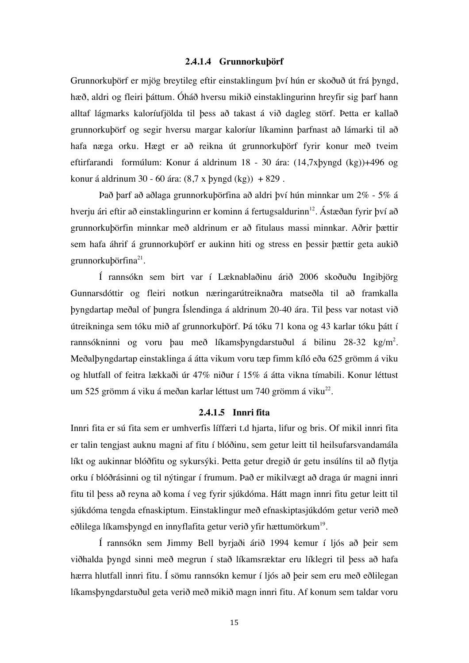#### **2.4.1.4 Grunnorkuþörf**

Grunnorkuþörf er mjög breytileg eftir einstaklingum því hún er skoðuð út frá þyngd, hæð, aldri og fleiri þáttum. Óháð hversu mikið einstaklingurinn hreyfir sig þarf hann alltaf lágmarks kaloríufjölda til þess að takast á við dagleg störf. Þetta er kallað grunnorkuþörf og segir hversu margar kaloríur líkaminn þarfnast að lámarki til að hafa næga orku. Hægt er að reikna út grunnorkuþörf fyrir konur með tveim eftirfarandi formúlum: Konur á aldrinum 18 - 30 ára: (14,7xþyngd (kg))+496 og konur á aldrinum 30 - 60 ára:  $(8,7 \times 9)$  + 829 .

Það þarf að aðlaga grunnorkuþörfina að aldri því hún minnkar um 2% - 5% á hverju ári eftir að einstaklingurinn er kominn á fertugsaldurinn<sup>12</sup>. Ástæðan fyrir því að grunnorkuþörfin minnkar með aldrinum er að fitulaus massi minnkar. Aðrir þættir sem hafa áhrif á grunnorkuþörf er aukinn hiti og stress en þessir þættir geta aukið grunnorkuþörfina<sup>21</sup>.

Í rannsókn sem birt var í Læknablaðinu árið 2006 skoðuðu Ingibjörg Gunnarsdóttir og fleiri notkun næringarútreiknaðra matseðla til að framkalla þyngdartap meðal of þungra Íslendinga á aldrinum 20-40 ára. Til þess var notast við útreikninga sem tóku mið af grunnorkuþörf. Þá tóku 71 kona og 43 karlar tóku þátt í rannsókninni og voru þau með líkamsþyngdarstuðul á bilinu 28-32 kg/m<sup>2</sup>. Meðalþyngdartap einstaklinga á átta vikum voru tæp fimm kíló eða 625 grömm á viku og hlutfall of feitra lækkaði úr 47% niður í 15% á átta vikna tímabili. Konur léttust um 525 grömm á viku á meðan karlar léttust um 740 grömm á viku<sup>22</sup>.

#### **2.4.1.5 Innri fita**

Innri fita er sú fita sem er umhverfis líffæri t.d hjarta, lifur og bris. Of mikil innri fita er talin tengjast auknu magni af fitu í blóðinu, sem getur leitt til heilsufarsvandamála líkt og aukinnar blóðfitu og sykursýki. Þetta getur dregið úr getu insúlíns til að flytja orku í blóðrásinni og til nýtingar í frumum. Það er mikilvægt að draga úr magni innri fitu til þess að reyna að koma í veg fyrir sjúkdóma. Hátt magn innri fitu getur leitt til sjúkdóma tengda efnaskiptum. Einstaklingur með efnaskiptasjúkdóm getur verið með eðlilega líkamsþyngd en innyflafita getur verið yfir hættumörkum<sup>19</sup>.

Í rannsókn sem Jimmy Bell byrjaði árið 1994 kemur í ljós að þeir sem viðhalda þyngd sinni með megrun í stað líkamsræktar eru líklegri til þess að hafa hærra hlutfall innri fitu. Í sömu rannsókn kemur í ljós að þeir sem eru með eðlilegan líkamsþyngdarstuðul geta verið með mikið magn innri fitu. Af konum sem taldar voru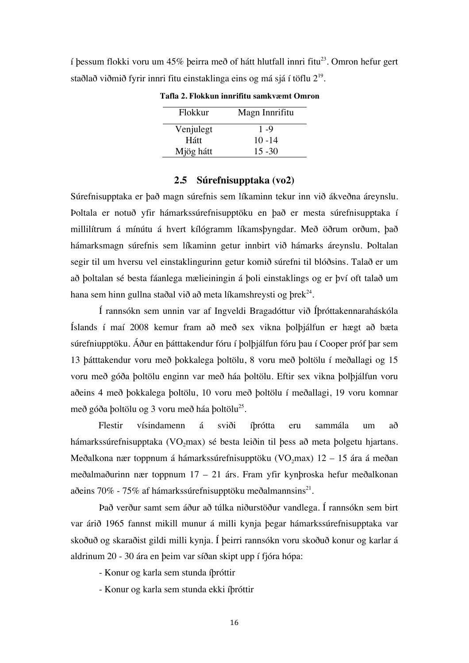í þessum flokki voru um 45% þeirra með of hátt hlutfall innri fitu<sup>23</sup>. Omron hefur gert staðlað viðmið fyrir innri fitu einstaklinga eins og má sjá í töflu  $2^{\scriptstyle 19}$ .

| Flokkur   | Magn Innrifitu |
|-----------|----------------|
| Venjulegt | $1 - 9$        |
| Hátt      | $10 - 14$      |
| Mjög hátt | $15 - 30$      |

**Tafla 2. Flokkun innrifitu samkvæmt Omron**

#### **2.5 Súrefnisupptaka (vo2)**

Súrefnisupptaka er það magn súrefnis sem líkaminn tekur inn við ákveðna áreynslu. Þoltala er notuð yfir hámarkssúrefnisupptöku en það er mesta súrefnisupptaka í millilítrum á mínútu á hvert kílógramm líkamsþyngdar. Með öðrum orðum, það hámarksmagn súrefnis sem líkaminn getur innbirt við hámarks áreynslu. Þoltalan segir til um hversu vel einstaklingurinn getur komið súrefni til blóðsins. Talað er um að þoltalan sé besta fáanlega mælieiningin á þoli einstaklings og er því oft talað um hana sem hinn gullna staðal við að meta líkamshreysti og þrek<sup>24</sup>.

Í rannsókn sem unnin var af Ingveldi Bragadóttur við Íþróttakennaraháskóla Íslands í maí 2008 kemur fram að með sex vikna þolþjálfun er hægt að bæta súrefniupptöku. Áður en þátttakendur fóru í þolþjálfun fóru þau í Cooper próf þar sem 13 þátttakendur voru með þokkalega þoltölu, 8 voru með þoltölu í meðallagi og 15 voru með góða þoltölu enginn var með háa þoltölu. Eftir sex vikna þolþjálfun voru aðeins 4 með þokkalega þoltölu, 10 voru með þoltölu í meðallagi, 19 voru komnar með góða þoltölu og 3 voru með háa boltölu<sup>25</sup>.

Flestir vísindamenn á sviði íþrótta eru sammála um að hámarkssúrefnisupptaka (VO<sub>2</sub>max) sé besta leiðin til þess að meta þolgetu hjartans. Meðalkona nær toppnum á hámarkssúrefnisupptöku (VO<sub>2</sub>max)  $12 - 15$  ára á meðan meðalmaðurinn nær toppnum 17 – 21 árs. Fram yfir kynþroska hefur meðalkonan aðeins 70% - 75% af hámarkssúrefnisupptöku meðalmannsins<sup>21</sup>.

Það verður samt sem áður að túlka niðurstöður vandlega. Í rannsókn sem birt var árið 1965 fannst mikill munur á milli kynja þegar hámarkssúrefnisupptaka var skoðuð og skaraðist gildi milli kynja. Í þeirri rannsókn voru skoðuð konur og karlar á aldrinum 20 - 30 ára en þeim var síðan skipt upp í fjóra hópa:

- Konur og karla sem stunda íþróttir
- Konur og karla sem stunda ekki íþróttir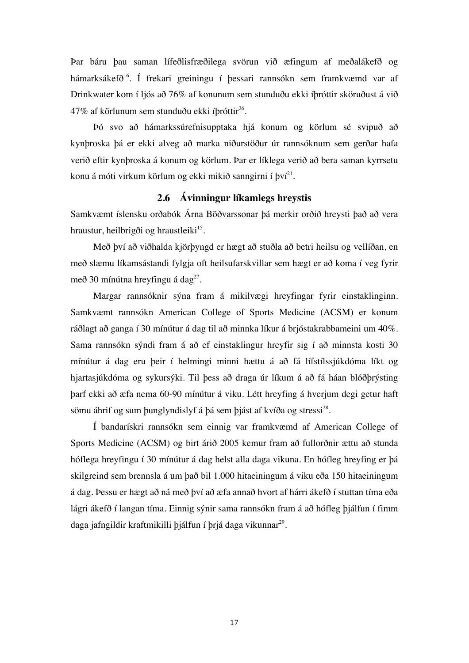Þar báru þau saman lífeðlisfræðilega svörun við æfingum af meðalákefð og hámarksákefð<sup>16</sup>. Í frekari greiningu í þessari rannsókn sem framkvæmd var af Drinkwater kom í ljós að 76% af konunum sem stunduðu ekki íþróttir sköruðust á við 47% af körlunum sem stunduðu ekki íþróttir<sup>26</sup>.

Þó svo að hámarkssúrefnisupptaka hjá konum og körlum sé svipuð að kynþroska þá er ekki alveg að marka niðurstöður úr rannsóknum sem gerðar hafa verið eftir kynþroska á konum og körlum. Þar er líklega verið að bera saman kyrrsetu konu á móti virkum körlum og ekki mikið sanngirni í því $^{21}$ .

#### **2.6 Ávinningur líkamlegs hreystis**

Samkvæmt íslensku orðabók Árna Böðvarssonar þá merkir orðið hreysti það að vera hraustur, heilbrigði og hraustleiki $15$ .

Með því að viðhalda kjörþyngd er hægt að stuðla að betri heilsu og vellíðan, en með slæmu líkamsástandi fylgja oft heilsufarskvillar sem hægt er að koma í veg fyrir með 30 mínútna hreyfingu á dag<sup>27</sup>.

Margar rannsóknir sýna fram á mikilvægi hreyfingar fyrir einstaklinginn. Samkvæmt rannsókn American College of Sports Medicine (ACSM) er konum ráðlagt að ganga í 30 mínútur á dag til að minnka líkur á brjóstakrabbameini um 40%. Sama rannsókn sýndi fram á að ef einstaklingur hreyfir sig í að minnsta kosti 30 mínútur á dag eru þeir í helmingi minni hættu á að fá lífstílssjúkdóma líkt og hjartasjúkdóma og sykursýki. Til þess að draga úr líkum á að fá háan blóðþrýsting þarf ekki að æfa nema 60-90 mínútur á viku. Létt hreyfing á hverjum degi getur haft sömu áhrif og sum þunglyndislyf á þá sem þjást af kvíða og stressi<sup>28</sup>.

Í bandarískri rannsókn sem einnig var framkvæmd af American College of Sports Medicine (ACSM) og birt árið 2005 kemur fram að fullorðnir ættu að stunda hóflega hreyfingu í 30 mínútur á dag helst alla daga vikuna. En hófleg hreyfing er þá skilgreind sem brennsla á um það bil 1.000 hitaeiningum á viku eða 150 hitaeiningum á dag. Þessu er hægt að ná með því að æfa annað hvort af hárri ákefð í stuttan tíma eða lágri ákefð í langan tíma. Einnig sýnir sama rannsókn fram á að hófleg þjálfun í fimm daga jafngildir kraftmikilli þjálfun í þrjá daga vikunnar<sup>29</sup>.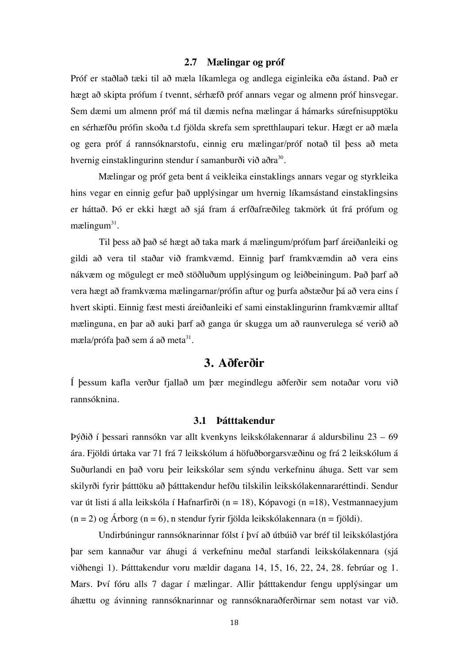#### **2.7 Mælingar og próf**

Próf er staðlað tæki til að mæla líkamlega og andlega eiginleika eða ástand. Það er hægt að skipta prófum í tvennt, sérhæfð próf annars vegar og almenn próf hinsvegar. Sem dæmi um almenn próf má til dæmis nefna mælingar á hámarks súrefnisupptöku en sérhæfðu prófin skoða t.d fjölda skrefa sem spretthlaupari tekur. Hægt er að mæla og gera próf á rannsóknarstofu, einnig eru mælingar/próf notað til þess að meta hvernig einstaklingurinn stendur í samanburði við aðra<sup>30</sup>.

Mælingar og próf geta bent á veikleika einstaklings annars vegar og styrkleika hins vegar en einnig gefur það upplýsingar um hvernig líkamsástand einstaklingsins er háttað. Þó er ekki hægt að sjá fram á erfðafræðileg takmörk út frá prófum og mælingum $31$ .

Til þess að það sé hægt að taka mark á mælingum/prófum þarf áreiðanleiki og gildi að vera til staðar við framkvæmd. Einnig þarf framkvæmdin að vera eins nákvæm og mögulegt er með stöðluðum upplýsingum og leiðbeiningum. Það þarf að vera hægt að framkvæma mælingarnar/prófin aftur og þurfa aðstæður þá að vera eins í hvert skipti. Einnig fæst mesti áreiðanleiki ef sami einstaklingurinn framkvæmir alltaf mælinguna, en þar að auki þarf að ganga úr skugga um að raunverulega sé verið að mæla/prófa það sem á að meta $31$ .

## **3. Aðferðir**

Í þessum kafla verður fjallað um þær megindlegu aðferðir sem notaðar voru við rannsóknina.

#### **3.1 Þátttakendur**

Þýðið í þessari rannsókn var allt kvenkyns leikskólakennarar á aldursbilinu 23 – 69 ára. Fjöldi úrtaka var 71 frá 7 leikskólum á höfuðborgarsvæðinu og frá 2 leikskólum á Suðurlandi en það voru þeir leikskólar sem sýndu verkefninu áhuga. Sett var sem skilyrði fyrir þátttöku að þátttakendur hefðu tilskilin leikskólakennararéttindi. Sendur var út listi á alla leikskóla í Hafnarfirði (n = 18), Kópavogi (n =18), Vestmannaeyjum  $(n = 2)$  og Árborg  $(n = 6)$ , n stendur fyrir fjölda leikskólakennara  $(n = f$ jöldi).

Undirbúningur rannsóknarinnar fólst í því að útbúið var bréf til leikskólastjóra þar sem kannaður var áhugi á verkefninu meðal starfandi leikskólakennara (sjá viðhengi 1). Þátttakendur voru mældir dagana 14, 15, 16, 22, 24, 28. febrúar og 1. Mars. Því fóru alls 7 dagar í mælingar. Allir þátttakendur fengu upplýsingar um áhættu og ávinning rannsóknarinnar og rannsóknaraðferðirnar sem notast var við.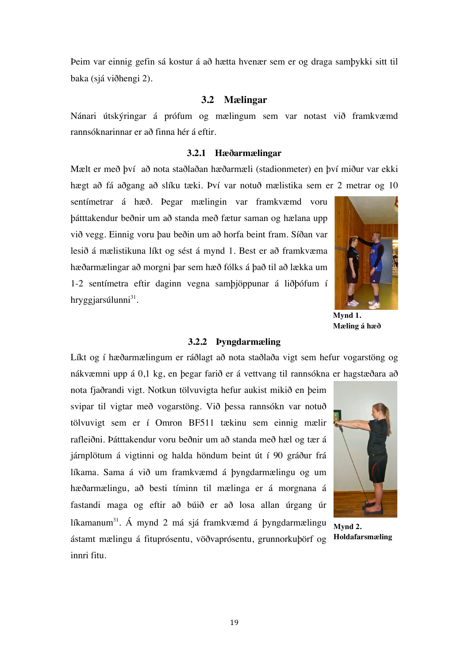Þeim var einnig gefin sá kostur á að hætta hvenær sem er og draga samþykki sitt til baka (sjá viðhengi 2).

#### **3.2 Mælingar**

Nánari útskýringar á prófum og mælingum sem var notast við framkvæmd rannsóknarinnar er að finna hér á eftir.

#### **3.2.1 Hæðarmælingar**

Mælt er með því að nota staðlaðan hæðarmæli (stadionmeter) en því miður var ekki hægt að fá aðgang að slíku tæki. Því var notuð mælistika sem er 2 metrar og 10

sentímetrar á hæð. Þegar mælingin var framkvæmd voru þátttakendur beðnir um að standa með fætur saman og hælana upp við vegg. Einnig voru þau beðin um að horfa beint fram. Síðan var lesið á mælistikuna líkt og sést á mynd 1. Best er að framkvæma hæðarmælingar að morgni þar sem hæð fólks á það til að lækka um 1-2 sentímetra eftir daginn vegna samþjöppunar á liðþófum í hrvggjarsúlunni $31$ .



**Mæling á hæð**

#### **3.2.2 Þyngdarmæling**

Líkt og í hæðarmælingum er ráðlagt að nota staðlaða vigt sem hefur vogarstöng og nákvæmni upp á 0,1 kg, en þegar farið er á vettvang til rannsókna er hagstæðara að

nota fjaðrandi vigt. Notkun tölvuvigta hefur aukist mikið en þeim svipar til vigtar með vogarstöng. Við þessa rannsókn var notuð tölvuvigt sem er í Omron BF511 tækinu sem einnig mælir rafleiðni. Þátttakendur voru beðnir um að standa með hæl og tær á járnplötum á vigtinni og halda höndum beint út í 90 gráður frá líkama. Sama á við um framkvæmd á þyngdarmælingu og um hæðarmælingu, að besti tíminn til mælinga er á morgnana á fastandi maga og eftir að búið er að losa allan úrgang úr líkamanum<sup>31</sup>. Á mynd 2 má sjá framkvæmd á þyngdarmælingu ástamt mælingu á fituprósentu, vöðvaprósentu, grunnorkuþörf og innri fitu.



**Mynd 2. Holdafarsmæling**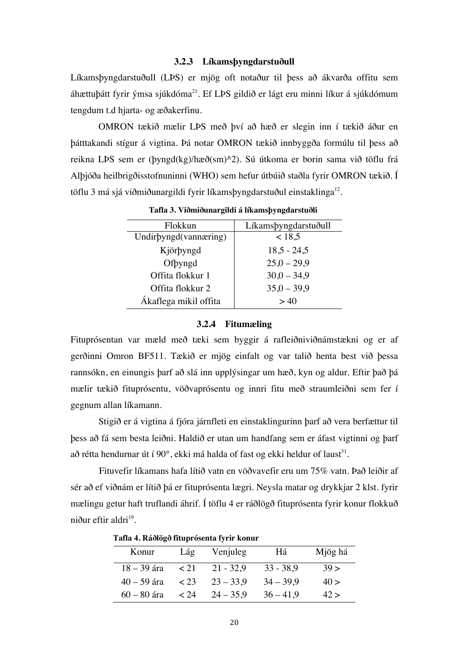#### **3.2.3 Líkamsþyngdarstuðull**

Líkamsþyngdarstuðull (LÞS) er mjög oft notaður til þess að ákvarða offitu sem áhættuþátt fyrir ýmsa sjúkdóma $^{21}$ . Ef LPS gildið er lágt eru minni líkur á sjúkdómum tengdum t.d hjarta- og æðakerfinu.

OMRON tækið mælir LÞS með því að hæð er slegin inn í tækið áður en þátttakandi stígur á vigtina. Þá notar OMRON tækið innbyggða formúlu til þess að reikna LÞS sem er (þyngd(kg)/hæð(sm)^2). Sú útkoma er borin sama við töflu frá Alþjóða heilbrigðisstofnuninni (WHO) sem hefur útbúið staðla fyrir OMRON tækið. Í töflu 3 má sjá við miðunargildi fyrir líkams byngdarstuðul einstaklinga $^{12}$ .

| Flokkun               | Líkamsþyngdarstuðull |
|-----------------------|----------------------|
| Undirbyngd(vannæring) | ~18,5                |
| Kjörbyngd             | $18,5 - 24,5$        |
| Ofbyngd               | $25,0 - 29,9$        |
| Offita flokkur 1      | $30,0 - 34,9$        |
| Offita flokkur 2      | $35,0 - 39,9$        |
| Ákaflega mikil offita | >40                  |

**Tafla 3. Viðmiðunargildi á líkamsþyngdarstuðli**

#### **3.2.4 Fitumæling**

Fituprósentan var mæld með tæki sem byggir á rafleiðniviðnámstækni og er af gerðinni Omron BF511. Tækið er mjög einfalt og var talið henta best við þessa rannsókn, en einungis þarf að slá inn upplýsingar um hæð, kyn og aldur. Eftir það þá mælir tækið fituprósentu, vöðvaprósentu og innri fitu með straumleiðni sem fer í gegnum allan líkamann.

Stigið er á vigtina á fjóra járnfleti en einstaklingurinn þarf að vera berfættur til þess að fá sem besta leiðni. Haldið er utan um handfang sem er áfast vigtinni og þarf að rétta hendurnar út í 90 $^{\circ}$ , ekki má halda of fast og ekki heldur of laust<sup>31</sup>.

Fituvefir líkamans hafa lítið vatn en vöðvavefir eru um 75% vatn. Það leiðir af sér að ef viðnám er lítið þá er fituprósenta lægri. Neysla matar og drykkjar 2 klst. fyrir mælingu getur haft truflandi áhrif. Í töflu 4 er ráðlögð fituprósenta fyrir konur flokkuð niður eftir aldri $^{19}$ .

**Tafla 4. Ráðlögð fituprósenta fyrir konur**

| Konur         | Lág       | Venjuleg    | Há          | Mjög há |
|---------------|-----------|-------------|-------------|---------|
| 18 – 39 ára   | 1 < 21    | $21 - 32.9$ | $33 - 38.9$ | 39 >    |
| $40 - 59$ ára | $\leq$ 23 | $23 - 33.9$ | $34 - 39.9$ | 40 >    |
| $60 - 80$ ára | $\leq 24$ | $24 - 35.9$ | $36 - 41.9$ | 42 >    |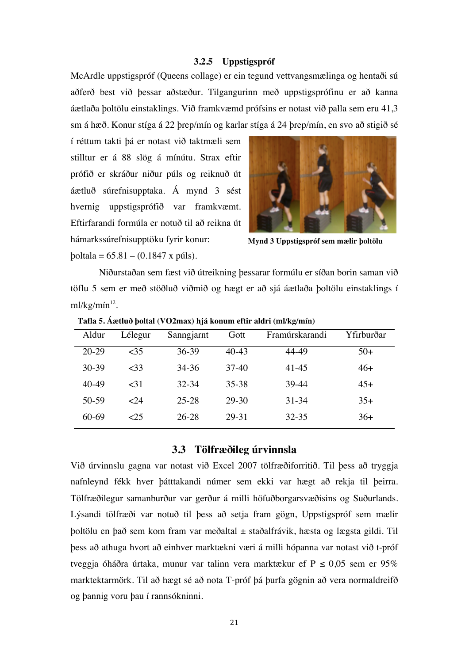#### **3.2.5 Uppstigspróf**

McArdle uppstigspróf (Queens collage) er ein tegund vettvangsmælinga og hentaði sú aðferð best við þessar aðstæður. Tilgangurinn með uppstigsprófinu er að kanna áætlaða þoltölu einstaklings. Við framkvæmd prófsins er notast við palla sem eru 41,3 sm á hæð. Konur stíga á 22 þrep/mín og karlar stíga á 24 þrep/mín, en svo að stigið sé

í réttum takti þá er notast við taktmæli sem stilltur er á 88 slög á mínútu. Strax eftir prófið er skráður niður púls og reiknuð út áætluð súrefnisupptaka. Á mynd 3 sést hvernig uppstigsprófið var framkvæmt. Eftirfarandi formúla er notuð til að reikna út hámarkssúrefnisupptöku fyrir konur: þoltala = 65.81 – (0.1847 x púls).



**Mynd 3 Uppstigspróf sem mælir þoltölu**

Niðurstaðan sem fæst við útreikning þessarar formúlu er síðan borin saman við töflu 5 sem er með stöðluð viðmið og hægt er að sjá áætlaða þoltölu einstaklings í ml/kg/mín $^{12}$ .

| Aldur   | Lélegur       | Sanngjarnt | Gott    | Framúrskarandi | Yfirburðar |
|---------|---------------|------------|---------|----------------|------------|
| $20-29$ | ~15           | 36-39      | $40-43$ | 44-49          | $50+$      |
| $30-39$ | <33           | 34-36      | $37-40$ | 41-45          | $46+$      |
| 40-49   | $<$ 31        | $32 - 34$  | 35-38   | 39-44          | $45+$      |
| 50-59   | $\epsilon$ 24 | 25-28      | 29-30   | $31 - 34$      | $35+$      |
| 60-69   | 25            | 26-28      | 29-31   | $32 - 35$      | $36+$      |

**Tafla 5. Áætluð þoltal (VO2max) hjá konum eftir aldri (ml/kg/mín)**

#### **3.3 Tölfræðileg úrvinnsla**

Við úrvinnslu gagna var notast við Excel 2007 tölfræðiforritið. Til þess að tryggja nafnleynd fékk hver þátttakandi númer sem ekki var hægt að rekja til þeirra. Tölfræðilegur samanburður var gerður á milli höfuðborgarsvæðisins og Suðurlands. Lýsandi tölfræði var notuð til þess að setja fram gögn, Uppstigspróf sem mælir þoltölu en það sem kom fram var meðaltal ± staðalfrávik, hæsta og lægsta gildi. Til þess að athuga hvort að einhver marktækni væri á milli hópanna var notast við t-próf tveggja óháðra úrtaka, munur var talinn vera marktækur ef  $P \le 0.05$  sem er 95% marktektarmörk. Til að hægt sé að nota T-próf þá þurfa gögnin að vera normaldreifð og þannig voru þau í rannsókninni.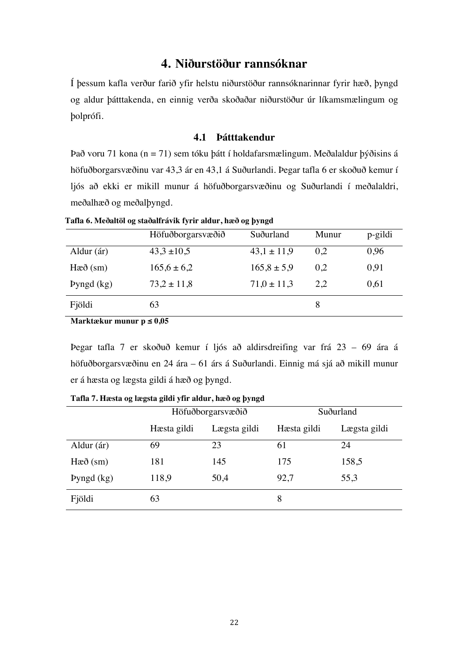## **4. Niðurstöður rannsóknar**

Í þessum kafla verður farið yfir helstu niðurstöður rannsóknarinnar fyrir hæð, þyngd og aldur þátttakenda, en einnig verða skoðaðar niðurstöður úr líkamsmælingum og þolprófi.

#### **4.1 Þátttakendur**

Það voru 71 kona (n = 71) sem tóku þátt í holdafarsmælingum. Meðalaldur þýðisins á höfuðborgarsvæðinu var 43,3 ár en 43,1 á Suðurlandi. Þegar tafla 6 er skoðuð kemur í ljós að ekki er mikill munur á höfuðborgarsvæðinu og Suðurlandi í meðalaldri, meðalhæð og meðalþyngd.

|                 | Höfuðborgarsvæðið | Suðurland       | Munur | p-gildi |
|-----------------|-------------------|-----------------|-------|---------|
| Aldur (ár)      | $43.3 \pm 10.5$   | $43,1 \pm 11,9$ | 0,2   | 0,96    |
| $Ha\delta$ (sm) | $165,6 \pm 6,2$   | $165.8 \pm 5.9$ | 0,2   | 0,91    |
| Pyngd $(kg)$    | $73.2 \pm 11.8$   | $71.0 \pm 11.3$ | 2,2   | 0,61    |
| Fjöldi          | 63                |                 | 8     |         |

**Tafla 6. Meðaltöl og staðalfrávik fyrir aldur, hæð og þyngd** 

**Marktækur munur p ≤ 0,05** 

Þegar tafla 7 er skoðuð kemur í ljós að aldirsdreifing var frá 23 – 69 ára á höfuðborgarsvæðinu en 24 ára – 61 árs á Suðurlandi. Einnig má sjá að mikill munur er á hæsta og lægsta gildi á hæð og þyngd.

|                 | Höfuðborgarsvæðið |              | Suðurland   |              |
|-----------------|-------------------|--------------|-------------|--------------|
|                 | Hæsta gildi       | Lægsta gildi | Hæsta gildi | Lægsta gildi |
| Aldur (ár)      | 69                | 23           | 61          | 24           |
| $Ha\delta$ (sm) | 181               | 145          | 175         | 158,5        |
| Pyngd $(kg)$    | 118,9             | 50,4         | 92,7        | 55,3         |
| Fjöldi          | 63                |              | 8           |              |

**Tafla 7. Hæsta og lægsta gildi yfir aldur, hæð og þyngd**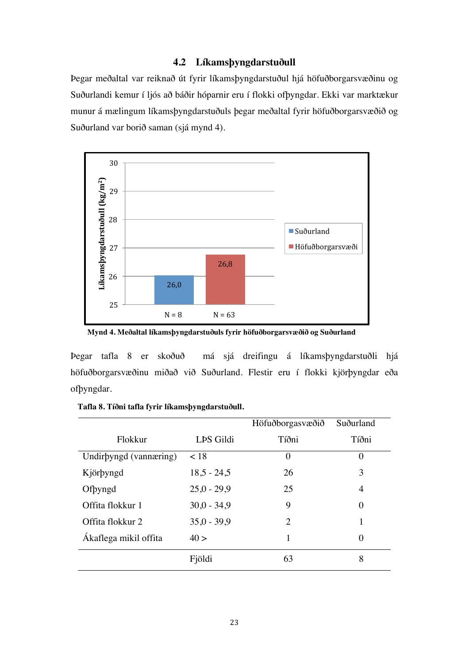#### **4.2 Líkamsþyngdarstuðull**

Þegar meðaltal var reiknað út fyrir líkamsþyngdarstuðul hjá höfuðborgarsvæðinu og Suðurlandi kemur í ljós að báðir hóparnir eru í flokki ofþyngdar. Ekki var marktækur munur á mælingum líkamsþyngdarstuðuls þegar meðaltal fyrir höfuðborgarsvæðið og Suðurland var borið saman (sjá mynd 4).



**Mynd 4. Meðaltal líkamsþyngdarstuðuls fyrir höfuðborgarsvæðið og Suðurland**

Þegar tafla 8 er skoðuð má sjá dreifingu á líkamsþyngdarstuðli hjá höfuðborgarsvæðinu miðað við Suðurland. Flestir eru í flokki kjörþyngdar eða ofþyngdar.

|                        |               | Höfuðborgasvæðið | Suðurland      |
|------------------------|---------------|------------------|----------------|
| Flokkur                | LPS Gildi     | Tíðni            | Tíðni          |
| Undirbyngd (vannæring) | < 18          | $\theta$         | $\overline{0}$ |
| Kjörbyngd              | $18,5 - 24,5$ | 26               | 3              |
| Ofbyngd                | $25,0 - 29,9$ | 25               | 4              |
| Offita flokkur 1       | $30,0 - 34,9$ | 9                | 0              |
| Offita flokkur 2       | $35.0 - 39.9$ | 2                | 1              |
| Ákaflega mikil offita  | 40 >          | 1                | 0              |
|                        | Fjöldi        | 63               | 8              |

**Tafla 8. Tíðni tafla fyrir líkamsþyngdarstuðull.**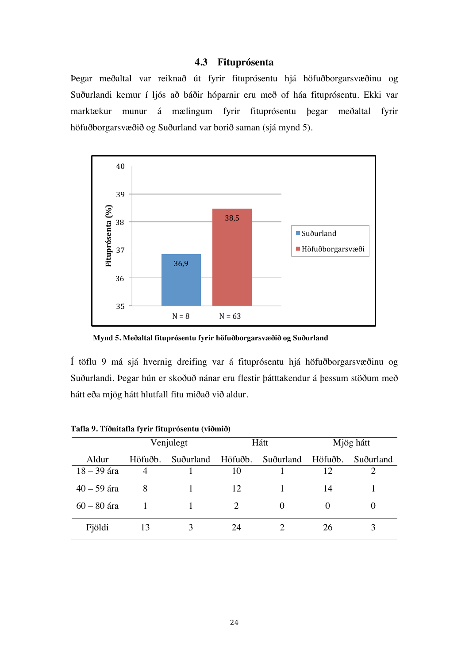#### **4.3 Fituprósenta**

Þegar meðaltal var reiknað út fyrir fituprósentu hjá höfuðborgarsvæðinu og Suðurlandi kemur í ljós að báðir hóparnir eru með of háa fituprósentu. Ekki var marktækur munur á mælingum fyrir fituprósentu þegar meðaltal fyrir höfuðborgarsvæðið og Suðurland var borið saman (sjá mynd 5).



**Mynd 5. Meðaltal fituprósentu fyrir höfuðborgarsvæðið og Suðurland**

Í töflu 9 má sjá hvernig dreifing var á fituprósentu hjá höfuðborgarsvæðinu og Suðurlandi. Þegar hún er skoðuð nánar eru flestir þátttakendur á þessum stöðum með hátt eða mjög hátt hlutfall fitu miðað við aldur.

|               |         | Venjulegt | Hátt                        |                                     | Mjög hátt |           |
|---------------|---------|-----------|-----------------------------|-------------------------------------|-----------|-----------|
| Aldur         | Höfuðb. |           |                             | Suðurland Höfuðb. Suðurland Höfuðb. |           | Suðurland |
| $18 - 39$ ára | 4       |           | 10                          |                                     | 12        | C         |
| $40 - 59$ ára | 8       |           | 12                          |                                     | 14        |           |
| $60 - 80$ ára |         |           | $\mathcal{D}_{\mathcal{L}}$ | $\theta$                            | $\theta$  |           |
| Fjöldi        | 13      |           | 24                          |                                     | 26        |           |

**Tafla 9. Tíðnitafla fyrir fituprósentu (viðmið)**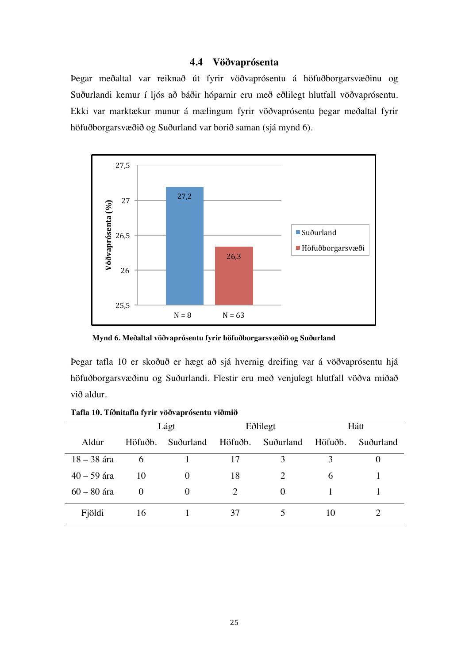#### **4.4 Vöðvaprósenta**

Þegar meðaltal var reiknað út fyrir vöðvaprósentu á höfuðborgarsvæðinu og Suðurlandi kemur í ljós að báðir hóparnir eru með eðlilegt hlutfall vöðvaprósentu. Ekki var marktækur munur á mælingum fyrir vöðvaprósentu þegar meðaltal fyrir höfuðborgarsvæðið og Suðurland var borið saman (sjá mynd 6).



 **Mynd 6. Meðaltal vöðvaprósentu fyrir höfuðborgarsvæðið og Suðurland**

Þegar tafla 10 er skoðuð er hægt að sjá hvernig dreifing var á vöðvaprósentu hjá höfuðborgarsvæðinu og Suðurlandi. Flestir eru með venjulegt hlutfall vöðva miðað við aldur.

|               |          | Lágt      | Eðlilegt              |           | Hátt    |           |
|---------------|----------|-----------|-----------------------|-----------|---------|-----------|
| Aldur         | Höfuðb.  | Suðurland | Höfuðb.               | Suðurland | Höfuðb. | Suðurland |
| $18 - 38$ ára | $\sigma$ |           | 17                    | 3         | 3       | U         |
| $40 - 59$ ára | 10       | $\theta$  | 18                    | 2         | 6       |           |
| $60 - 80$ ára | $\theta$ | $\theta$  | $\mathcal{D}_{\cdot}$ | $\theta$  |         |           |
| Fjöldi        | 16       |           | 37                    |           | 10      |           |

**Tafla 10. Tíðnitafla fyrir vöðvaprósentu viðmið**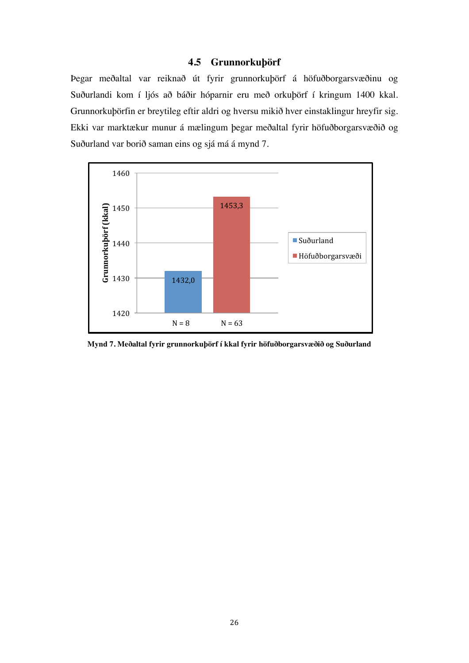### **4.5 Grunnorkuþörf**

Þegar meðaltal var reiknað út fyrir grunnorkuþörf á höfuðborgarsvæðinu og Suðurlandi kom í ljós að báðir hóparnir eru með orkuþörf í kringum 1400 kkal. Grunnorkuþörfin er breytileg eftir aldri og hversu mikið hver einstaklingur hreyfir sig. Ekki var marktækur munur á mælingum þegar meðaltal fyrir höfuðborgarsvæðið og Suðurland var borið saman eins og sjá má á mynd 7.



**Mynd 7. Meðaltal fyrir grunnorkuþörf í kkal fyrir höfuðborgarsvæðið og Suðurland**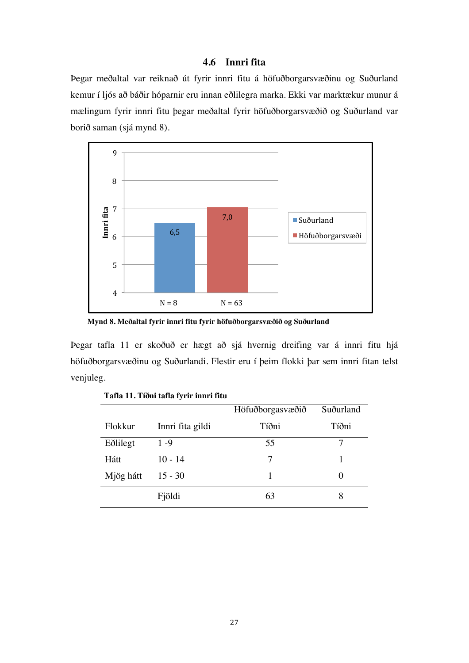#### **4.6 Innri fita**

Þegar meðaltal var reiknað út fyrir innri fitu á höfuðborgarsvæðinu og Suðurland kemur í ljós að báðir hóparnir eru innan eðlilegra marka. Ekki var marktækur munur á mælingum fyrir innri fitu þegar meðaltal fyrir höfuðborgarsvæðið og Suðurland var borið saman (sjá mynd 8).



**Mynd 8. Meðaltal fyrir innri fitu fyrir höfuðborgarsvæðið og Suðurland**

Þegar tafla 11 er skoðuð er hægt að sjá hvernig dreifing var á innri fitu hjá höfuðborgarsvæðinu og Suðurlandi. Flestir eru í þeim flokki þar sem innri fitan telst venjuleg.

|           |                  | Höfuðborgasvæðið | Suðurland |
|-----------|------------------|------------------|-----------|
| Flokkur   | Innri fita gildi | Tíðni            | Tíðni     |
| Eðlilegt  | $1 - 9$          | 55               |           |
| Hátt      | $10 - 14$        | 7                |           |
| Mjög hátt | $15 - 30$        |                  |           |
|           | Fjöldi           | 63               | 8         |

**Tafla 11. Tíðni tafla fyrir innri fitu**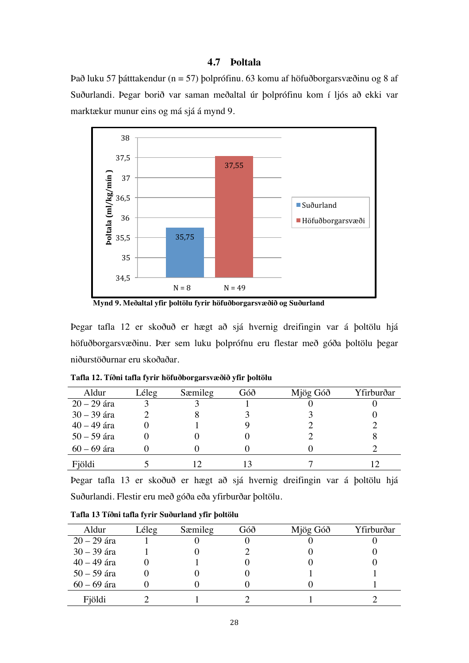#### **4.7 Þoltala**

Það luku 57 þátttakendur (n = 57) þolprófinu. 63 komu af höfuðborgarsvæðinu og 8 af Suðurlandi. Þegar borið var saman meðaltal úr þolprófinu kom í ljós að ekki var marktækur munur eins og má sjá á mynd 9.



**Mynd 9. Meðaltal yfir þoltölu fyrir höfuðborgarsvæðið og Suðurland**

Þegar tafla 12 er skoðuð er hægt að sjá hvernig dreifingin var á þoltölu hjá höfuðborgarsvæðinu. Þær sem luku þolprófnu eru flestar með góða þoltölu þegar niðurstöðurnar eru skoðaðar.

| Aldur         | Léleg | Sæmileg | Góð | Mjög Góð | Yfirburðar |
|---------------|-------|---------|-----|----------|------------|
| $20 - 29$ ára |       |         |     |          |            |
| $30 - 39$ ára |       |         |     |          |            |
| $40 - 49$ ára |       |         |     |          |            |
| $50 - 59$ ára |       |         |     |          |            |
| $60 - 69$ ára |       |         |     |          |            |
| Fjöldi        |       |         |     |          |            |

**Tafla 12. Tíðni tafla fyrir höfuðborgarsvæðið yfir þoltölu** 

Þegar tafla 13 er skoðuð er hægt að sjá hvernig dreifingin var á þoltölu hjá Suðurlandi. Flestir eru með góða eða yfirburðar þoltölu.

| Aldur         | Léleg | Sæmileg | Góð | Mjög Góð | Yfirburðar |
|---------------|-------|---------|-----|----------|------------|
| $20 - 29$ ára |       |         |     |          |            |
| $30 - 39$ ára |       |         |     |          |            |
| $40 - 49$ ára |       |         |     |          |            |
| $50 - 59$ ára |       |         |     |          |            |
| $60 - 69$ ára |       |         |     |          |            |
| Fjöldi        |       |         |     |          |            |

**Tafla 13 Tíðni tafla fyrir Suðurland yfir þoltölu**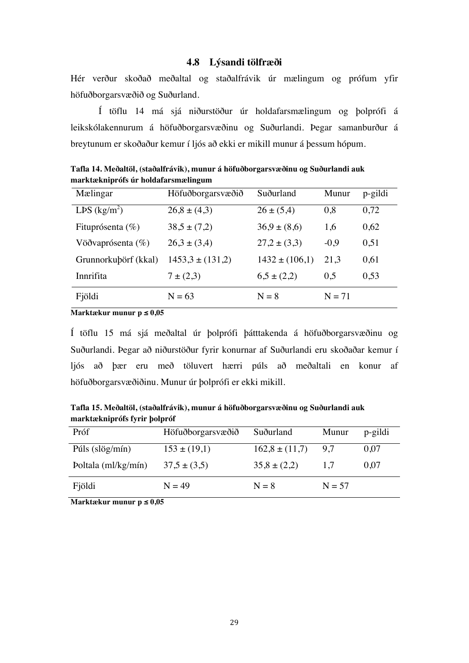#### **4.8 Lýsandi tölfræði**

Hér verður skoðað meðaltal og staðalfrávik úr mælingum og prófum yfir höfuðborgarsvæðið og Suðurland.

Í töflu 14 má sjá niðurstöður úr holdafarsmælingum og þolprófi á leikskólakennurum á höfuðborgarsvæðinu og Suðurlandi. Þegar samanburður á breytunum er skoðaður kemur í ljós að ekki er mikill munur á þessum hópum.

| Mælingar             | Höfuðborgarsvæðið    | Suðurland          | Munur    | p-gildi |
|----------------------|----------------------|--------------------|----------|---------|
| LPS $(kg/m^2)$       | $26.8 \pm (4.3)$     | $26 \pm (5,4)$     | 0,8      | 0,72    |
| Fituprósenta (%)     | $38,5 \pm (7,2)$     | $36.9 \pm (8.6)$   | 1,6      | 0,62    |
| Vöðvaprósenta $(\%)$ | $26.3 \pm (3.4)$     | $27.2 \pm (3.3)$   | $-0.9$   | 0,51    |
| Grunnorkubörf (kkal) | $1453.3 \pm (131.2)$ | $1432 \pm (106,1)$ | 21,3     | 0,61    |
| Innrifita            | $7 \pm (2,3)$        | $6,5 \pm (2,2)$    | 0,5      | 0,53    |
| Fjöldi               | $N = 63$             | $N = 8$            | $N = 71$ |         |

**Tafla 14. Meðaltöl, (staðalfrávik), munur á höfuðborgarsvæðinu og Suðurlandi auk marktækniprófs úr holdafarsmælingum**

**Marktækur munur p ≤ 0,05**

Í töflu 15 má sjá meðaltal úr þolprófi þátttakenda á höfuðborgarsvæðinu og Suðurlandi. Þegar að niðurstöður fyrir konurnar af Suðurlandi eru skoðaðar kemur í ljós að þær eru með töluvert hærri púls að meðaltali en konur af höfuðborgarsvæðiðinu. Munur úr þolprófi er ekki mikill.

**Tafla 15. Meðaltöl, (staðalfrávik), munur á höfuðborgarsvæðinu og Suðurlandi auk marktækniprófs fyrir þolpróf**

| Próf                                               | Höfuðborgarsvæðið | Suðurland          | Munur    | p-gildi |
|----------------------------------------------------|-------------------|--------------------|----------|---------|
| Púls $\left(\frac{\text{slög}}{\text{min}}\right)$ | $153 \pm (19,1)$  | $162,8 \pm (11,7)$ | 9.7      | 0,07    |
| Poltala (ml/kg/mín)                                | $37.5 \pm (3.5)$  | $35,8 \pm (2,2)$   | 1.7      | 0,07    |
| Fjöldi                                             | $N = 49$          | $N = 8$            | $N = 57$ |         |
|                                                    |                   |                    |          |         |

**Marktækur munur p ≤ 0,05**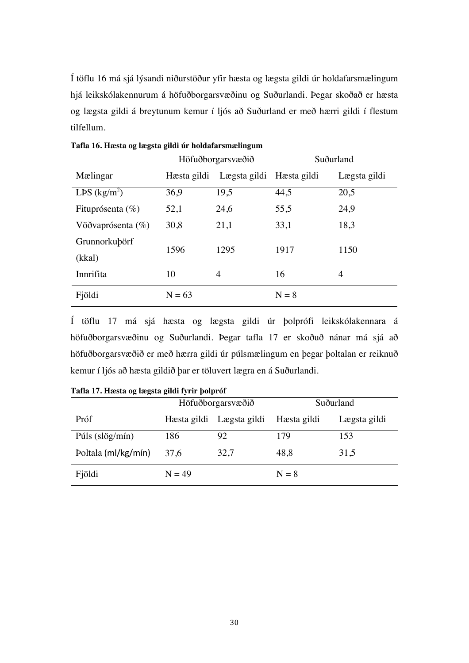Í töflu 16 má sjá lýsandi niðurstöður yfir hæsta og lægsta gildi úr holdafarsmælingum hjá leikskólakennurum á höfuðborgarsvæðinu og Suðurlandi. Þegar skoðað er hæsta og lægsta gildi á breytunum kemur í ljós að Suðurland er með hærri gildi í flestum tilfellum.

|                      | Höfuðborgarsvæðið |                          | Suðurland |              |
|----------------------|-------------------|--------------------------|-----------|--------------|
| Mælingar             | Hæsta gildi       | Lægsta gildi Hæsta gildi |           | Lægsta gildi |
| LPS $(kg/m^2)$       | 36,9              | 19,5                     | 44,5      | 20,5         |
| Fituprósenta $(\% )$ | 52,1              | 24,6                     | 55,5      | 24,9         |
| Vöðvaprósenta $(\%)$ | 30,8              | 21,1                     | 33,1      | 18,3         |
| Grunnorkubörf        | 1596              | 1295                     | 1917      | 1150         |
| (kkal)               |                   |                          |           |              |
| Innrifita            | 10                | 4                        | 16        | 4            |
| Fjöldi               | $N = 63$          |                          | $N = 8$   |              |

**Tafla 16. Hæsta og lægsta gildi úr holdafarsmælingum**

Í töflu 17 má sjá hæsta og lægsta gildi úr þolprófi leikskólakennara á höfuðborgarsvæðinu og Suðurlandi. Þegar tafla 17 er skoðuð nánar má sjá að höfuðborgarsvæðið er með hærra gildi úr púlsmælingum en þegar þoltalan er reiknuð kemur í ljós að hæsta gildið þar er töluvert lægra en á Suðurlandi.

|                     |          | Höfuðborgarsvæðið        | Suðurland   |              |
|---------------------|----------|--------------------------|-------------|--------------|
| Próf                |          | Hæsta gildi Lægsta gildi | Hæsta gildi | Lægsta gildi |
| Púls (slög/mín)     | 186      | 92                       | 179         | 153          |
| Poltala (ml/kg/mín) | 37,6     | 32,7                     | 48,8        | 31,5         |
| Fjöldi              | $N = 49$ |                          | $N = 8$     |              |

**Tafla 17. Hæsta og lægsta gildi fyrir þolpróf**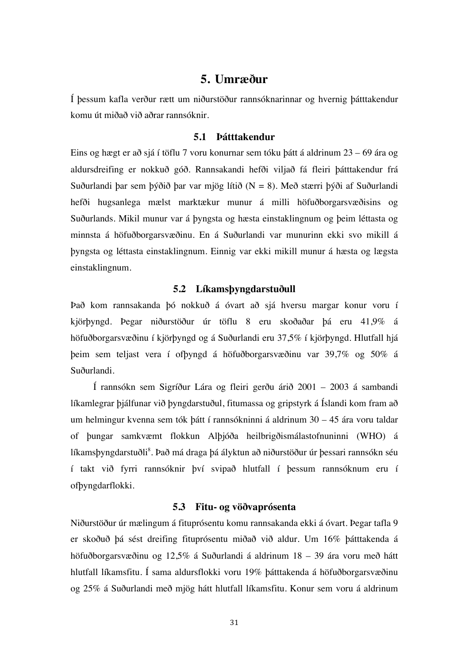### **5. Umræður**

Í þessum kafla verður rætt um niðurstöður rannsóknarinnar og hvernig þátttakendur komu út miðað við aðrar rannsóknir.

#### **5.1 Þátttakendur**

Eins og hægt er að sjá í töflu 7 voru konurnar sem tóku þátt á aldrinum 23 – 69 ára og aldursdreifing er nokkuð góð. Rannsakandi hefði viljað fá fleiri þátttakendur frá Suðurlandi þar sem þýðið þar var mjög lítið  $(N = 8)$ . Með stærri þýði af Suðurlandi hefði hugsanlega mælst marktækur munur á milli höfuðborgarsvæðisins og Suðurlands. Mikil munur var á þyngsta og hæsta einstaklingnum og þeim léttasta og minnsta á höfuðborgarsvæðinu. En á Suðurlandi var munurinn ekki svo mikill á þyngsta og léttasta einstaklingnum. Einnig var ekki mikill munur á hæsta og lægsta einstaklingnum.

#### **5.2 Líkamsþyngdarstuðull**

Það kom rannsakanda þó nokkuð á óvart að sjá hversu margar konur voru í kjörþyngd. Þegar niðurstöður úr töflu 8 eru skoðaðar þá eru 41,9% á höfuðborgarsvæðinu í kjörþyngd og á Suðurlandi eru 37,5% í kjörþyngd. Hlutfall hjá þeim sem teljast vera í ofþyngd á höfuðborgarsvæðinu var 39,7% og 50% á Suðurlandi.

Í rannsókn sem Sigríður Lára og fleiri gerðu árið 2001 – 2003 á sambandi líkamlegrar þjálfunar við þyngdarstuðul, fitumassa og gripstyrk á Íslandi kom fram að um helmingur kvenna sem tók þátt í rannsókninni á aldrinum 30 – 45 ára voru taldar of þungar samkvæmt flokkun Alþjóða heilbrigðismálastofnuninni (WHO) á líkamsþyngdarstuðli<sup>8</sup>. Það má draga þá ályktun að niðurstöður úr þessari rannsókn séu í takt við fyrri rannsóknir því svipað hlutfall í þessum rannsóknum eru í ofþyngdarflokki.

#### **5.3 Fitu- og vöðvaprósenta**

Niðurstöður úr mælingum á fituprósentu komu rannsakanda ekki á óvart. Þegar tafla 9 er skoðuð þá sést dreifing fituprósentu miðað við aldur. Um 16% þátttakenda á höfuðborgarsvæðinu og 12,5% á Suðurlandi á aldrinum 18 – 39 ára voru með hátt hlutfall líkamsfitu. Í sama aldursflokki voru 19% þátttakenda á höfuðborgarsvæðinu og 25% á Suðurlandi með mjög hátt hlutfall líkamsfitu. Konur sem voru á aldrinum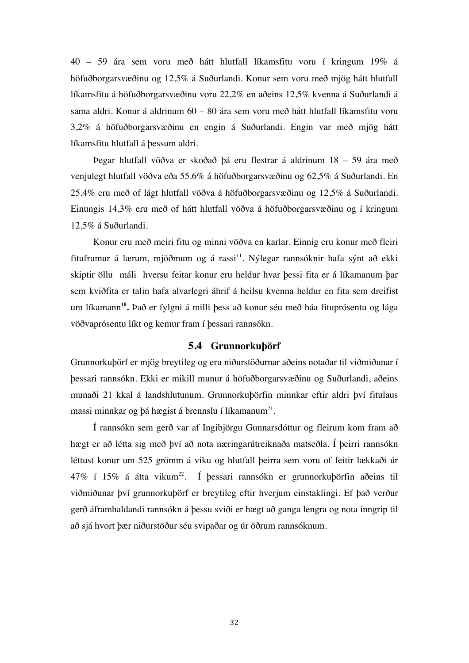40 – 59 ára sem voru með hátt hlutfall líkamsfitu voru í kringum 19% á höfuðborgarsvæðinu og 12,5% á Suðurlandi. Konur sem voru með mjög hátt hlutfall líkamsfitu á höfuðborgarsvæðinu voru 22,2% en aðeins 12,5% kvenna á Suðurlandi á sama aldri. Konur á aldrinum 60 – 80 ára sem voru með hátt hlutfall líkamsfitu voru 3,2% á höfuðborgarsvæðinu en engin á Suðurlandi. Engin var með mjög hátt líkamsfitu hlutfall á þessum aldri.

Þegar hlutfall vöðva er skoðað þá eru flestrar á aldrinum 18 – 59 ára með venjulegt hlutfall vöðva eða 55.6% á höfuðborgarsvæðinu og 62,5% á Suðurlandi. En 25,4% eru með of lágt hlutfall vöðva á höfuðborgarsvæðinu og 12,5% á Suðurlandi. Einungis 14,3% eru með of hátt hlutfall vöðva á höfuðborgarsvæðinu og í kringum 12,5% á Suðurlandi.

Konur eru með meiri fitu og minni vöðva en karlar. Einnig eru konur með fleiri fitufrumur á lærum, mjöðmum og á rassi<sup>11</sup>. Nýlegar rannsóknir hafa sýnt að ekki skiptir öllu máli hversu feitar konur eru heldur hvar þessi fita er á líkamanum þar sem kviðfita er talin hafa alvarlegri áhrif á heilsu kvenna heldur en fita sem dreifist um líkamann**10.** Það er fylgni á milli þess að konur séu með háa fituprósentu og lága vöðvaprósentu líkt og kemur fram í þessari rannsókn.

#### **5.4 Grunnorkuþörf**

Grunnorkuþörf er mjög breytileg og eru niðurstöðurnar aðeins notaðar til viðmiðunar í þessari rannsókn. Ekki er mikill munur á höfuðborgarsvæðinu og Suðurlandi, aðeins munaði 21 kkal á landshlutunum. Grunnorkuþörfin minnkar eftir aldri því fitulaus massi minnkar og þá hægist á brennslu í líkamanum<sup>21</sup>.

Í rannsókn sem gerð var af Ingibjörgu Gunnarsdóttur og fleirum kom fram að hægt er að létta sig með því að nota næringarútreiknaða matseðla. Í þeirri rannsókn léttust konur um 525 grömm á viku og hlutfall þeirra sem voru of feitir lækkaði úr  $47\%$  í 15% á átta vikum<sup>22</sup>. Í þessari rannsókn er grunnorkuþörfin aðeins til viðmiðunar því grunnorkuþörf er breytileg eftir hverjum einstaklingi. Ef það verður gerð áframhaldandi rannsókn á þessu sviði er hægt að ganga lengra og nota inngrip til að sjá hvort þær niðurstöður séu svipaðar og úr öðrum rannsóknum.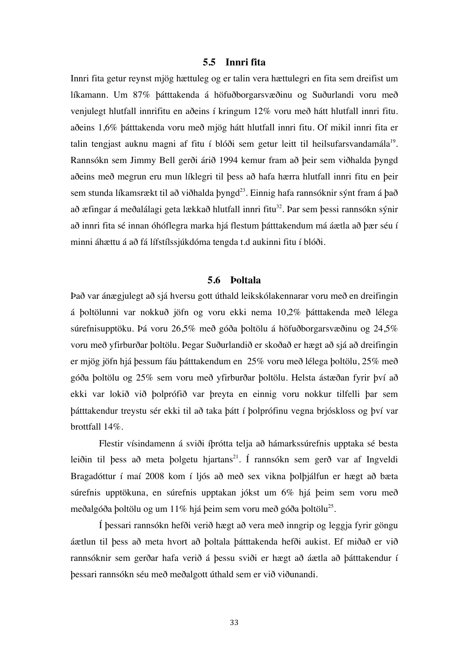#### **5.5 Innri fita**

Innri fita getur reynst mjög hættuleg og er talin vera hættulegri en fita sem dreifist um líkamann. Um 87% þátttakenda á höfuðborgarsvæðinu og Suðurlandi voru með venjulegt hlutfall innrifitu en aðeins í kringum 12% voru með hátt hlutfall innri fitu. aðeins 1,6% þátttakenda voru með mjög hátt hlutfall innri fitu. Of mikil innri fita er talin tengjast auknu magni af fitu í blóði sem getur leitt til heilsufarsvandamála<sup>19</sup>. Rannsókn sem Jimmy Bell gerði árið 1994 kemur fram að þeir sem viðhalda þyngd aðeins með megrun eru mun líklegri til þess að hafa hærra hlutfall innri fitu en þeir sem stunda líkamsrækt til að viðhalda þyngd<sup>23</sup>. Einnig hafa rannsóknir sýnt fram á það að æfingar á meðalálagi geta lækkað hlutfall innri fitu<sup>32</sup>. Þar sem þessi rannsókn sýnir að innri fita sé innan óhóflegra marka hjá flestum þátttakendum má áætla að þær séu í minni áhættu á að fá lífstílssjúkdóma tengda t.d aukinni fitu í blóði.

#### **5.6 Þoltala**

Það var ánægjulegt að sjá hversu gott úthald leikskólakennarar voru með en dreifingin á þoltölunni var nokkuð jöfn og voru ekki nema 10,2% þátttakenda með lélega súrefnisupptöku. Þá voru 26,5% með góða þoltölu á höfuðborgarsvæðinu og 24,5% voru með yfirburðar þoltölu. Þegar Suðurlandið er skoðað er hægt að sjá að dreifingin er mjög jöfn hjá þessum fáu þátttakendum en 25% voru með lélega þoltölu, 25% með góða þoltölu og 25% sem voru með yfirburðar þoltölu. Helsta ástæðan fyrir því að ekki var lokið við þolprófið var þreyta en einnig voru nokkur tilfelli þar sem þátttakendur treystu sér ekki til að taka þátt í þolprófinu vegna brjóskloss og því var brottfall 14%.

Flestir vísindamenn á sviði íþrótta telja að hámarkssúrefnis upptaka sé besta leiðin til þess að meta þolgetu hjartans<sup>21</sup>. Í rannsókn sem gerð var af Ingveldi Bragadóttur í maí 2008 kom í ljós að með sex vikna þolþjálfun er hægt að bæta súrefnis upptökuna, en súrefnis upptakan jókst um 6% hjá þeim sem voru með meðalgóða þoltölu og um 11% hjá þeim sem voru með góða þoltölu<sup>25</sup>.

Í þessari rannsókn hefði verið hægt að vera með inngrip og leggja fyrir göngu áætlun til þess að meta hvort að þoltala þátttakenda hefði aukist. Ef miðað er við rannsóknir sem gerðar hafa verið á þessu sviði er hægt að áætla að þátttakendur í þessari rannsókn séu með meðalgott úthald sem er við viðunandi.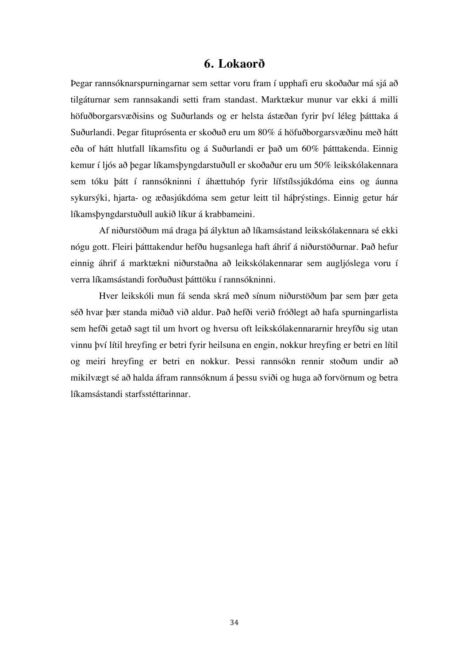## **6. Lokaorð**

Þegar rannsóknarspurningarnar sem settar voru fram í upphafi eru skoðaðar má sjá að tilgáturnar sem rannsakandi setti fram standast. Marktækur munur var ekki á milli höfuðborgarsvæðisins og Suðurlands og er helsta ástæðan fyrir því léleg þátttaka á Suðurlandi. Þegar fituprósenta er skoðuð eru um 80% á höfuðborgarsvæðinu með hátt eða of hátt hlutfall líkamsfitu og á Suðurlandi er það um 60% þátttakenda. Einnig kemur í ljós að þegar líkamsþyngdarstuðull er skoðaður eru um 50% leikskólakennara sem tóku þátt í rannsókninni í áhættuhóp fyrir lífstílssjúkdóma eins og áunna sykursýki, hjarta- og æðasjúkdóma sem getur leitt til háþrýstings. Einnig getur hár líkamsþyngdarstuðull aukið líkur á krabbameini.

Af niðurstöðum má draga þá ályktun að líkamsástand leikskólakennara sé ekki nógu gott. Fleiri þátttakendur hefðu hugsanlega haft áhrif á niðurstöðurnar. Það hefur einnig áhrif á marktækni niðurstaðna að leikskólakennarar sem augljóslega voru í verra líkamsástandi forðuðust þátttöku í rannsókninni.

Hver leikskóli mun fá senda skrá með sínum niðurstöðum þar sem þær geta séð hvar þær standa miðað við aldur. Það hefði verið fróðlegt að hafa spurningarlista sem hefði getað sagt til um hvort og hversu oft leikskólakennararnir hreyfðu sig utan vinnu því lítil hreyfing er betri fyrir heilsuna en engin, nokkur hreyfing er betri en lítil og meiri hreyfing er betri en nokkur. Þessi rannsókn rennir stoðum undir að mikilvægt sé að halda áfram rannsóknum á þessu sviði og huga að forvörnum og betra líkamsástandi starfsstéttarinnar.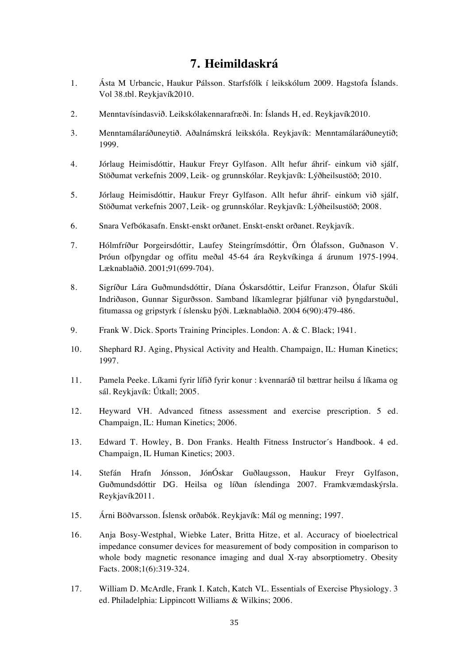## **7. Heimildaskrá**

- 1. Ásta M Urbancic, Haukur Pálsson. Starfsfólk í leikskólum 2009. Hagstofa Íslands. Vol 38.tbl. Reykjavík2010.
- 2. Menntavísindasvið. Leikskólakennarafræði. In: Íslands H, ed. Reykjavík2010.
- 3. Menntamálaráðuneytið. Aðalnámskrá leikskóla. Reykjavík: Menntamálaráðuneytið; 1999.
- 4. Jórlaug Heimisdóttir, Haukur Freyr Gylfason. Allt hefur áhrif- einkum við sjálf, Stöðumat verkefnis 2009, Leik- og grunnskólar. Reykjavík: Lýðheilsustöð; 2010.
- 5. Jórlaug Heimisdóttir, Haukur Freyr Gylfason. Allt hefur áhrif- einkum við sjálf, Stöðumat verkefnis 2007, Leik- og grunnskólar. Reykjavík: Lýðheilsustöð; 2008.
- 6. Snara Vefbókasafn. Enskt-enskt orðanet. Enskt-enskt orðanet. Reykjavík.
- 7. Hólmfríður Þorgeirsdóttir, Laufey Steingrímsdóttir, Örn Ólafsson, Guðnason V. Þróun ofþyngdar og offitu meðal 45-64 ára Reykvíkinga á árunum 1975-1994. Læknablaðið. 2001;91(699-704).
- 8. Sigríður Lára Guðmundsdóttir, Díana Óskarsdóttir, Leifur Franzson, Ólafur Skúli Indriðason, Gunnar Sigurðsson. Samband líkamlegrar þjálfunar við þyngdarstuðul, fitumassa og gripstyrk í íslensku þýði. Læknablaðið. 2004 6(90):479-486.
- 9. Frank W. Dick. Sports Training Principles. London: A. & C. Black; 1941.
- 10. Shephard RJ. Aging, Physical Activity and Health. Champaign, IL: Human Kinetics; 1997.
- 11. Pamela Peeke. Líkami fyrir lífið fyrir konur : kvennaráð til bættrar heilsu á líkama og sál. Reykjavík: Útkall; 2005.
- 12. Heyward VH. Advanced fitness assessment and exercise prescription. 5 ed. Champaign, IL: Human Kinetics; 2006.
- 13. Edward T. Howley, B. Don Franks. Health Fitness Instructor´s Handbook. 4 ed. Champaign, IL Human Kinetics; 2003.
- 14. Stefán Hrafn Jónsson, JónÓskar Guðlaugsson, Haukur Freyr Gylfason, Guðmundsdóttir DG. Heilsa og líðan íslendinga 2007. Framkvæmdaskýrsla. Reykjavík2011.
- 15. Árni Böðvarsson. Íslensk orðabók. Reykjavík: Mál og menning; 1997.
- 16. Anja Bosy-Westphal, Wiebke Later, Britta Hitze, et al. Accuracy of bioelectrical impedance consumer devices for measurement of body composition in comparison to whole body magnetic resonance imaging and dual X-ray absorptiometry. Obesity Facts. 2008;1(6):319-324.
- 17. William D. McArdle, Frank I. Katch, Katch VL. Essentials of Exercise Physiology. 3 ed. Philadelphia: Lippincott Williams & Wilkins; 2006.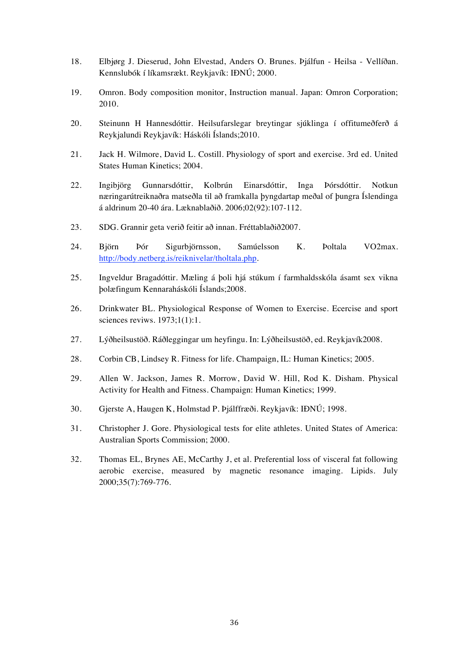- 18. Elbjørg J. Dieserud, John Elvestad, Anders O. Brunes. Þjálfun Heilsa Vellíðan. Kennslubók í líkamsrækt. Reykjavík: IÐNÚ; 2000.
- 19. Omron. Body composition monitor, Instruction manual. Japan: Omron Corporation; 2010.
- 20. Steinunn H Hannesdóttir. Heilsufarslegar breytingar sjúklinga í offitumeðferð á Reykjalundi Reykjavík: Háskóli Íslands;2010.
- 21. Jack H. Wilmore, David L. Costill. Physiology of sport and exercise. 3rd ed. United States Human Kinetics; 2004.
- 22. Ingibjörg Gunnarsdóttir, Kolbrún Einarsdóttir, Inga Þórsdóttir. Notkun næringarútreiknaðra matseðla til að framkalla þyngdartap meðal of þungra Íslendinga á aldrinum 20-40 ára. Læknablaðið. 2006;02(92):107-112.
- 23. SDG. Grannir geta verið feitir að innan. Fréttablaðið2007.
- 24. Björn Þór Sigurbjörnsson, Samúelsson K. Þoltala VO2max. http://body.netberg.is/reiknivelar/tholtala.php.
- 25. Ingveldur Bragadóttir. Mæling á þoli hjá stúkum í farmhaldsskóla ásamt sex vikna þolæfingum Kennaraháskóli Íslands;2008.
- 26. Drinkwater BL. Physiological Response of Women to Exercise. Ecercise and sport sciences reviws. 1973;1(1):1.
- 27. Lýðheilsustöð. Ráðleggingar um heyfingu. In: Lýðheilsustöð, ed. Reykjavík2008.
- 28. Corbin CB, Lindsey R. Fitness for life. Champaign, IL: Human Kinetics; 2005.
- 29. Allen W. Jackson, James R. Morrow, David W. Hill, Rod K. Disham. Physical Activity for Health and Fitness. Champaign: Human Kinetics; 1999.
- 30. Gjerste A, Haugen K, Holmstad P. Þjálffræði. Reykjavík: IÐNÚ; 1998.
- 31. Christopher J. Gore. Physiological tests for elite athletes. United States of America: Australian Sports Commission; 2000.
- 32. Thomas EL, Brynes AE, McCarthy J, et al. Preferential loss of visceral fat following aerobic exercise, measured by magnetic resonance imaging. Lipids. July 2000;35(7):769-776.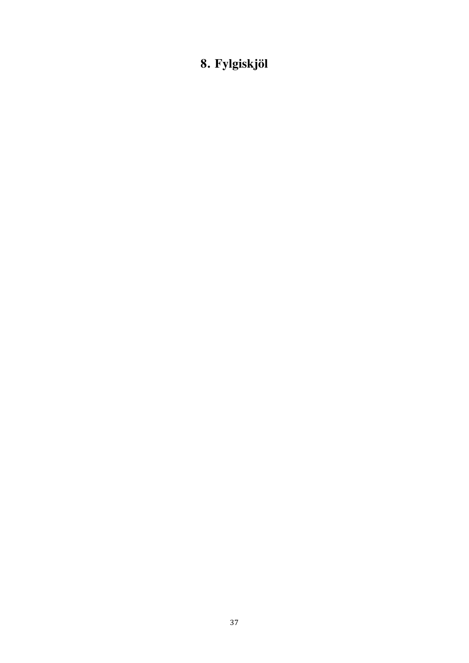# **8. Fylgiskjöl**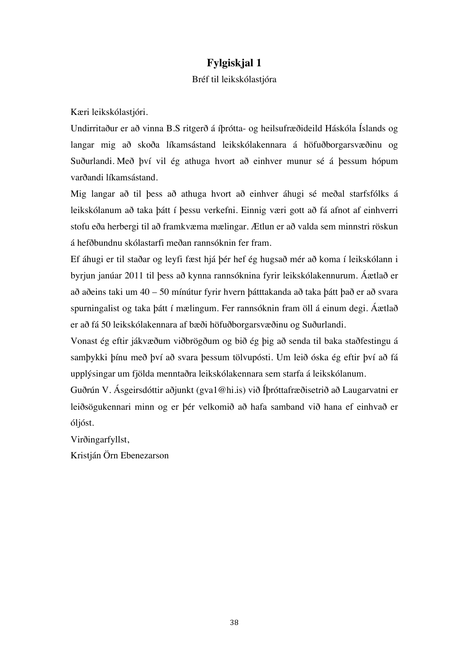## **Fylgiskjal 1**

#### Bréf til leikskólastjóra

Kæri leikskólastjóri.

Undirritaður er að vinna B.S ritgerð á íþrótta- og heilsufræðideild Háskóla Íslands og langar mig að skoða líkamsástand leikskólakennara á höfuðborgarsvæðinu og Suðurlandi. Með því vil ég athuga hvort að einhver munur sé á þessum hópum varðandi líkamsástand.

Mig langar að til þess að athuga hvort að einhver áhugi sé meðal starfsfólks á leikskólanum að taka þátt í þessu verkefni. Einnig væri gott að fá afnot af einhverri stofu eða herbergi til að framkvæma mælingar. Ætlun er að valda sem minnstri röskun á hefðbundnu skólastarfi meðan rannsóknin fer fram.

Ef áhugi er til staðar og leyfi fæst hjá þér hef ég hugsað mér að koma í leikskólann i byrjun janúar 2011 til þess að kynna rannsóknina fyrir leikskólakennurum. Áætlað er að aðeins taki um 40 – 50 mínútur fyrir hvern þátttakanda að taka þátt það er að svara spurningalist og taka þátt í mælingum. Fer rannsóknin fram öll á einum degi. Áætlað er að fá 50 leikskólakennara af bæði höfuðborgarsvæðinu og Suðurlandi.

Vonast ég eftir jákvæðum viðbrögðum og bið ég þig að senda til baka staðfestingu á samþykki þínu með því að svara þessum tölvupósti. Um leið óska ég eftir því að fá upplýsingar um fjölda menntaðra leikskólakennara sem starfa á leikskólanum.

Guðrún V. Ásgeirsdóttir aðjunkt (gva1@hi.is) við Íþróttafræðisetrið að Laugarvatni er leiðsögukennari minn og er þér velkomið að hafa samband við hana ef einhvað er óljóst.

Virðingarfyllst,

Kristján Örn Ebenezarson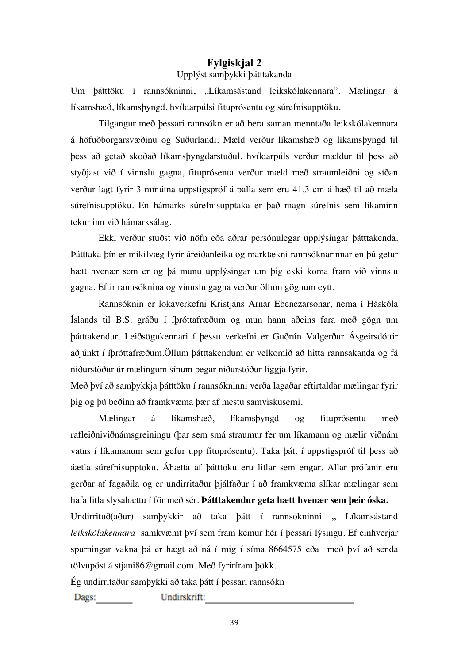## **Fylgiskjal 2**

### Upplýst samþykki þátttakanda

Um þátttöku í rannsókninni, ,,Líkamsástand leikskólakennara". Mælingar á líkamshæð, líkamsþyngd, hvíldarpúlsi fituprósentu og súrefnisupptöku.

Tilgangur með þessari rannsókn er að bera saman menntaða leikskólakennara á höfuðborgarsvæðinu og Suðurlandi. Mæld verður líkamshæð og líkamsþyngd til þess að getað skoðað líkamsþyngdarstuðul, hvíldarpúls verður mældur til þess að styðjast við í vinnslu gagna, fituprósenta verður mæld með straumleiðni og síðan verður lagt fyrir 3 mínútna uppstigspróf á palla sem eru 41,3 cm á hæð til að mæla súrefnisupptöku. En hámarks súrefnisupptaka er það magn súrefnis sem líkaminn tekur inn við hámarksálag.

Ekki verður stuðst við nöfn eða aðrar persónulegar upplýsingar þátttakenda. Þátttaka þín er mikilvæg fyrir áreiðanleika og marktækni rannsóknarinnar en þú getur hætt hvenær sem er og þá munu upplýsingar um þig ekki koma fram við vinnslu gagna. Eftir rannsóknina og vinnslu gagna verður öllum gögnum eytt.

Rannsóknin er lokaverkefni Kristjáns Arnar Ebenezarsonar, nema í Háskóla Íslands til B.S. gráðu í íþróttafræðum og mun hann aðeins fara með gögn um þátttakendur. Leiðsögukennari í þessu verkefni er Guðrún Valgerður Ásgeirsdóttir aðjúnkt í íþróttafræðum.Öllum þátttakendum er velkomið að hitta rannsakanda og fá niðurstöður úr mælingum sínum þegar niðurstöður liggja fyrir.

Með því að samþykkja þátttöku í rannsókninni verða lagaðar eftirtaldar mælingar fyrir þig og þú beðinn að framkvæma þær af mestu samviskusemi.

Mælingar á líkamshæð, líkamsþyngd og fituprósentu með rafleiðniviðnámsgreiningu (þar sem smá straumur fer um líkamann og mælir viðnám vatns í líkamanum sem gefur upp fituprósentu). Taka þátt í uppstigspróf til þess að áætla súrefnisupptöku. Áhætta af þátttöku eru litlar sem engar. Allar prófanir eru gerðar af fagaðila og er undirritaður þjálfaður í að framkvæma slíkar mælingar sem hafa litla slysahættu í för með sér. **Þátttakendur geta hætt hvenær sem þeir óska.** 

Undirrituð(aður) samþykkir að taka þátt í rannsókninni ,, Líkamsástand *leikskólakennara* samkvæmt því sem fram kemur hér í þessari lýsingu. Ef einhverjar spurningar vakna þá er hægt að ná í mig í síma 8664575 eða með því að senda tölvupóst á stiani86@gmail.com. Með fyrirfram bökk.

Ég undirritaður samþykki að taka þátt í þessari rannsókn

Undirskrift: Dags: